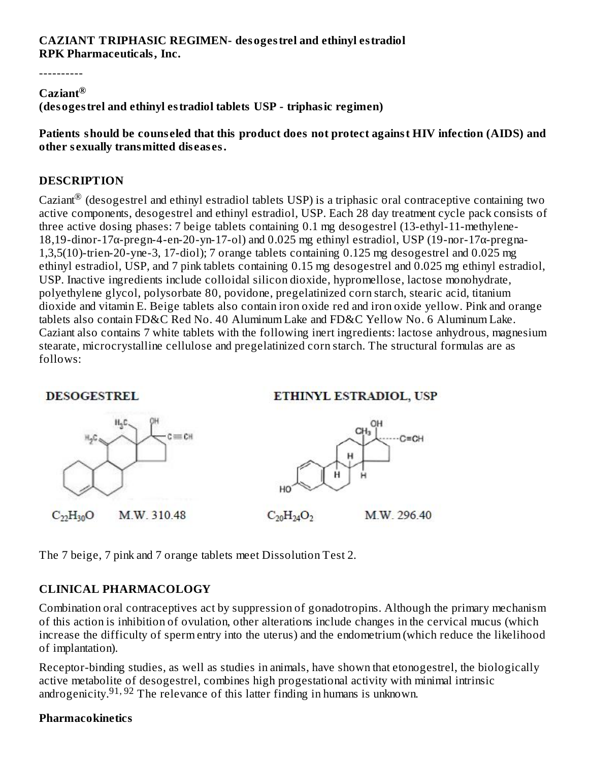#### **CAZIANT TRIPHASIC REGIMEN- desogestrel and ethinyl estradiol RPK Pharmaceuticals, Inc.**

----------

## **Caziant ® (desogestrel and ethinyl estradiol tablets USP - triphasic regimen)**

**Patients should be couns eled that this product does not protect against HIV infection (AIDS) and other s exually transmitted dis eas es.**

#### **DESCRIPTION**

Caziant $^\circledR$  (desogestrel and ethinyl estradiol tablets USP) is a triphasic oral contraceptive containing two active components, desogestrel and ethinyl estradiol, USP. Each 28 day treatment cycle pack consists of three active dosing phases: 7 beige tablets containing 0.1 mg desogestrel (13-ethyl-11-methylene-18,19-dinor-17α-pregn-4-en-20-yn-17-ol) and 0.025 mg ethinyl estradiol, USP (19-nor-17α-pregna-1,3,5(10)-trien-20-yne-3, 17-diol); 7 orange tablets containing 0.125 mg desogestrel and 0.025 mg ethinyl estradiol, USP, and 7 pink tablets containing 0.15 mg desogestrel and 0.025 mg ethinyl estradiol, USP. Inactive ingredients include colloidal silicon dioxide, hypromellose, lactose monohydrate, polyethylene glycol, polysorbate 80, povidone, pregelatinized corn starch, stearic acid, titanium dioxide and vitamin E. Beige tablets also contain iron oxide red and iron oxide yellow. Pink and orange tablets also contain FD&C Red No. 40 Aluminum Lake and FD&C Yellow No. 6 Aluminum Lake. Caziant also contains 7 white tablets with the following inert ingredients: lactose anhydrous, magnesium stearate, microcrystalline cellulose and pregelatinized corn starch. The structural formulas are as follows:

#### **DESOGESTREL**

#### ETHINYL ESTRADIOL, USP





M.W. 296.40

The 7 beige, 7 pink and 7 orange tablets meet Dissolution Test 2.

# **CLINICAL PHARMACOLOGY**

Combination oral contraceptives act by suppression of gonadotropins. Although the primary mechanism of this action is inhibition of ovulation, other alterations include changes in the cervical mucus (which increase the difficulty of sperm entry into the uterus) and the endometrium (which reduce the likelihood of implantation).

Receptor-binding studies, as well as studies in animals, have shown that etonogestrel, the biologically active metabolite of desogestrel, combines high progestational activity with minimal intrinsic androgenicity.<sup>91, 92</sup> The relevance of this latter finding in humans is unknown.

#### **Pharmacokinetics**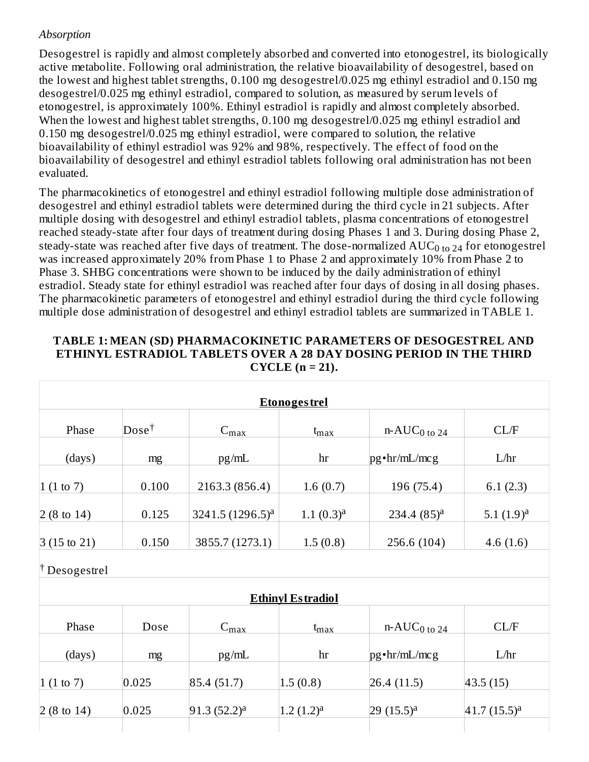# *Absorption*

Desogestrel is rapidly and almost completely absorbed and converted into etonogestrel, its biologically active metabolite. Following oral administration, the relative bioavailability of desogestrel, based on the lowest and highest tablet strengths, 0.100 mg desogestrel/0.025 mg ethinyl estradiol and 0.150 mg desogestrel/0.025 mg ethinyl estradiol, compared to solution, as measured by serum levels of etonogestrel, is approximately 100%. Ethinyl estradiol is rapidly and almost completely absorbed. When the lowest and highest tablet strengths, 0.100 mg desogestrel/0.025 mg ethinyl estradiol and 0.150 mg desogestrel/0.025 mg ethinyl estradiol, were compared to solution, the relative bioavailability of ethinyl estradiol was 92% and 98%, respectively. The effect of food on the bioavailability of desogestrel and ethinyl estradiol tablets following oral administration has not been evaluated.

The pharmacokinetics of etonogestrel and ethinyl estradiol following multiple dose administration of desogestrel and ethinyl estradiol tablets were determined during the third cycle in 21 subjects. After multiple dosing with desogestrel and ethinyl estradiol tablets, plasma concentrations of etonogestrel reached steady-state after four days of treatment during dosing Phases 1 and 3. During dosing Phase 2, steady-state was reached after five days of treatment. The dose-normalized  $\mathrm{AUC_{0\,to\,24}}$  for etonogestrel was increased approximately 20% from Phase 1 to Phase 2 and approximately 10% from Phase 2 to Phase 3. SHBG concentrations were shown to be induced by the daily administration of ethinyl estradiol. Steady state for ethinyl estradiol was reached after four days of dosing in all dosing phases. The pharmacokinetic parameters of etonogestrel and ethinyl estradiol during the third cycle following multiple dose administration of desogestrel and ethinyl estradiol tablets are summarized in TABLE 1.

| TABLE 1: MEAN (SD) PHARMACOKINETIC PARAMETERS OF DESOGESTREL AND   |
|--------------------------------------------------------------------|
| ETHINYL ESTRADIOL TABLETS OVER A 28 DAY DOSING PERIOD IN THE THIRD |
| CYCLE $(n = 21)$ .                                                 |

| <b>Etonogestrel</b>      |                          |                         |                         |                                 |                          |  |  |
|--------------------------|--------------------------|-------------------------|-------------------------|---------------------------------|--------------------------|--|--|
| Phase                    | $Dose^{\dagger}$         | $C_{\frac{max}{max}}$   | $t_{\rm max}$           | $n\text{-}AUC_{0\text{ to }24}$ | CL/F                     |  |  |
| (days)                   | mg                       | pg/mL                   | hr                      | pg•hr/mL/mcg                    | L/hr                     |  |  |
| 1(1 to 7)                | 0.100                    | 2163.3 (856.4)          | 1.6(0.7)                | 196 (75.4)                      | 6.1(2.3)                 |  |  |
| $ 2 (8 \text{ to } 14) $ | 0.125                    | 3241.5 $(1296.5)^a$     | $1.1(0.3)$ <sup>a</sup> | 234.4 $(85)^a$                  | $5.1(1.9)^a$             |  |  |
| $3(15 \text{ to } 21)$   | 0.150                    | 3855.7 (1273.1)         | 1.5(0.8)                | 256.6 (104)                     | 4.6 $(1.6)$              |  |  |
| Desogestrel              |                          |                         |                         |                                 |                          |  |  |
|                          | <b>Ethinyl Estradiol</b> |                         |                         |                                 |                          |  |  |
| Phase                    | Dose                     | $C_{\text{max}}$        | $t_{max}$               | $n\text{-}AUC_{0\text{ to }24}$ | CL/F                     |  |  |
| (days)                   | mg                       | pg/mL                   | hr                      | pg•hr/mL/mcg                    | L/hr                     |  |  |
| 1(1 to 7)                | 0.025                    | 85.4(51.7)              | 1.5(0.8)                | [26.4(11.5)]                    | 43.5(15)                 |  |  |
| $ 2 (8 \text{ to } 14) $ | 0.025                    | 91.3(52.2) <sup>a</sup> | 1.2 (1.2) <sup>a</sup>  | [29 (15.5) <sup>a</sup> ]       | 41.7 (15.5) <sup>a</sup> |  |  |
|                          |                          |                         |                         |                                 |                          |  |  |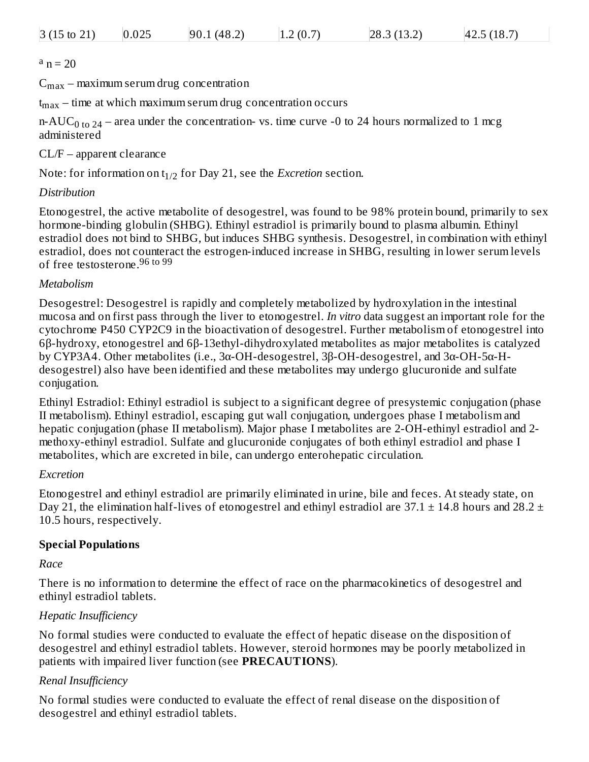$a_n = 20$ 

 $C_{max}$  – maximum serum drug concentration

 $t_{max}$  – time at which maximum serum drug concentration occurs

n-AUC<sub>0 to 24</sub> – area under the concentration- vs. time curve -0 to 24 hours normalized to 1 mcg administered

CL/F – apparent clearance

Note: for information on  $t_{1/2}$  for Day 21, see the *Excretion* section.

#### *Distribution*

Etonogestrel, the active metabolite of desogestrel, was found to be 98% protein bound, primarily to sex hormone-binding globulin (SHBG). Ethinyl estradiol is primarily bound to plasma albumin. Ethinyl estradiol does not bind to SHBG, but induces SHBG synthesis. Desogestrel, in combination with ethinyl estradiol, does not counteract the estrogen-induced increase in SHBG, resulting in lower serum levels of free testosterone.<sup>96 to 99</sup>

#### *Metabolism*

Desogestrel: Desogestrel is rapidly and completely metabolized by hydroxylation in the intestinal mucosa and on first pass through the liver to etonogestrel. *In vitro* data suggest an important role for the cytochrome P450 CYP2C9 in the bioactivation of desogestrel. Further metabolism of etonogestrel into 6β-hydroxy, etonogestrel and 6β-13ethyl-dihydroxylated metabolites as major metabolites is catalyzed by CYP3A4. Other metabolites (i.e., 3α-OH-desogestrel, 3β-OH-desogestrel, and 3α-OH-5α-Hdesogestrel) also have been identified and these metabolites may undergo glucuronide and sulfate conjugation.

Ethinyl Estradiol: Ethinyl estradiol is subject to a significant degree of presystemic conjugation (phase II metabolism). Ethinyl estradiol, escaping gut wall conjugation, undergoes phase I metabolism and hepatic conjugation (phase II metabolism). Major phase I metabolites are 2-OH-ethinyl estradiol and 2 methoxy-ethinyl estradiol. Sulfate and glucuronide conjugates of both ethinyl estradiol and phase I metabolites, which are excreted in bile, can undergo enterohepatic circulation.

#### *Excretion*

Etonogestrel and ethinyl estradiol are primarily eliminated in urine, bile and feces. At steady state, on Day 21, the elimination half-lives of etonogestrel and ethinyl estradiol are  $37.1 \pm 14.8$  hours and  $28.2 \pm 1.5$ 10.5 hours, respectively.

#### **Special Populations**

*Race*

There is no information to determine the effect of race on the pharmacokinetics of desogestrel and ethinyl estradiol tablets.

#### *Hepatic Insufficiency*

No formal studies were conducted to evaluate the effect of hepatic disease on the disposition of desogestrel and ethinyl estradiol tablets. However, steroid hormones may be poorly metabolized in patients with impaired liver function (see **PRECAUTIONS**).

#### *Renal Insufficiency*

No formal studies were conducted to evaluate the effect of renal disease on the disposition of desogestrel and ethinyl estradiol tablets.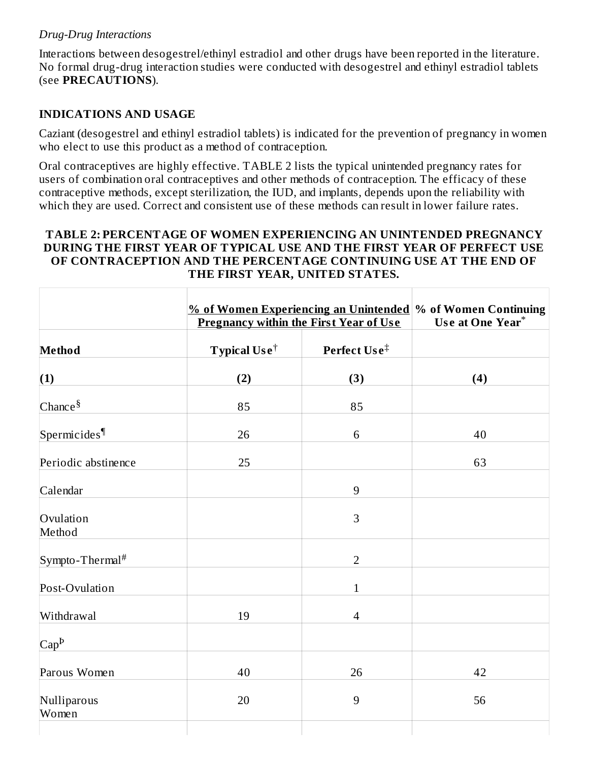#### *Drug-Drug Interactions*

Interactions between desogestrel/ethinyl estradiol and other drugs have been reported in the literature. No formal drug-drug interaction studies were conducted with desogestrel and ethinyl estradiol tablets (see **PRECAUTIONS**).

#### **INDICATIONS AND USAGE**

Caziant (desogestrel and ethinyl estradiol tablets) is indicated for the prevention of pregnancy in women who elect to use this product as a method of contraception.

Oral contraceptives are highly effective. TABLE 2 lists the typical unintended pregnancy rates for users of combination oral contraceptives and other methods of contraception. The efficacy of these contraceptive methods, except sterilization, the IUD, and implants, depends upon the reliability with which they are used. Correct and consistent use of these methods can result in lower failure rates.

#### **TABLE 2: PERCENTAGE OF WOMEN EXPERIENCING AN UNINTENDED PREGNANCY DURING THE FIRST YEAR OF TYPICAL USE AND THE FIRST YEAR OF PERFECT USE OF CONTRACEPTION AND THE PERCENTAGE CONTINUING USE AT THE END OF THE FIRST YEAR, UNITED STATES.**

|                      |                          | % of Women Experiencing an Unintended % of Women Continuing<br><b>Pregnancy within the First Year of Use</b> |     |  |
|----------------------|--------------------------|--------------------------------------------------------------------------------------------------------------|-----|--|
| <b>Method</b>        | Typical Use <sup>†</sup> | Perfect Use <sup>‡</sup>                                                                                     |     |  |
| (1)                  | (2)                      | (3)                                                                                                          | (4) |  |
| Chance <sup>§</sup>  | 85                       | 85                                                                                                           |     |  |
| Spermicides          | 26                       | 6                                                                                                            | 40  |  |
| Periodic abstinence  | 25                       |                                                                                                              | 63  |  |
| Calendar             |                          | $\boldsymbol{9}$                                                                                             |     |  |
| Ovulation<br>Method  |                          | 3                                                                                                            |     |  |
| Sympto-Thermal#      |                          | $\overline{2}$                                                                                               |     |  |
| Post-Ovulation       |                          | $\mathbf{1}$                                                                                                 |     |  |
| Withdrawal           | 19                       | $\overline{4}$                                                                                               |     |  |
| $Cap^{\mathbf{p}}$   |                          |                                                                                                              |     |  |
| Parous Women         | 40                       | 26                                                                                                           | 42  |  |
| Nulliparous<br>Women | 20                       | 9                                                                                                            | 56  |  |
|                      |                          |                                                                                                              |     |  |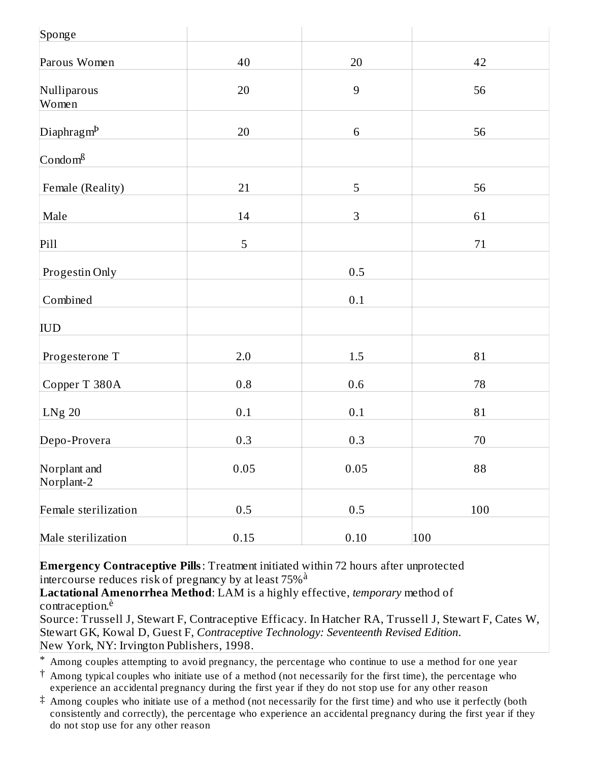| Sponge                     |           |                  |            |
|----------------------------|-----------|------------------|------------|
| Parous Women               | 40        | 20               | 42         |
| Nulliparous<br>Women       | 20        | $\boldsymbol{9}$ | 56         |
| Diaphragm <sup>b</sup>     | $20\,$    | $\,6\,$          | 56         |
| $\text{Condom}^{\beta}$    |           |                  |            |
| Female (Reality)           | 21        | 5                | 56         |
| Male                       | 14        | 3                | 61         |
| Pill                       | 5         |                  | 71         |
| Progestin Only             |           | $0.5\,$          |            |
| Combined                   |           | $0.1\,$          |            |
| <b>IUD</b>                 |           |                  |            |
| Progesterone T             | 2.0       | $1.5\,$          | 81         |
| Copper T 380A              | $\rm 0.8$ | $0.6\,$          | 78         |
| <b>LNg 20</b>              | 0.1       | $0.1\,$          | $\bf 81$   |
| Depo-Provera               | $0.3\,$   | $0.3\,$          | 70         |
| Norplant and<br>Norplant-2 | 0.05      | $0.05\,$         | ${\bf 88}$ |
| Female sterilization       | $0.5\,$   | $0.5\,$          | $100\,$    |
| Male sterilization         | $0.15\,$  | $0.10\,$         | 100        |

**Emergency Contraceptive Pills**: Treatment initiated within 72 hours after unprotected intercourse reduces risk of pregnancy by at least  $75\%$ <sup>à</sup>

**Lactational Amenorrhea Method**: LAM is a highly effective, *temporary* method of contraception.<sup>è</sup>

Source: Trussell J, Stewart F, Contraceptive Efficacy. In Hatcher RA, Trussell J, Stewart F, Cates W, Stewart GK, Kowal D, Guest F, *Contraceptive Technology: Seventeenth Revised Edition*. New York, NY: Irvington Publishers, 1998.

\* Among couples attempting to avoid pregnancy, the percentage who continue to use a method for one year

 $^\dagger$  Among typical couples who initiate use of a method (not necessarily for the first time), the percentage who experience an accidental pregnancy during the first year if they do not stop use for any other reason

‡ Among couples who initiate use of a method (not necessarily for the first time) and who use it perfectly (both consistently and correctly), the percentage who experience an accidental pregnancy during the first year if they do not stop use for any other reason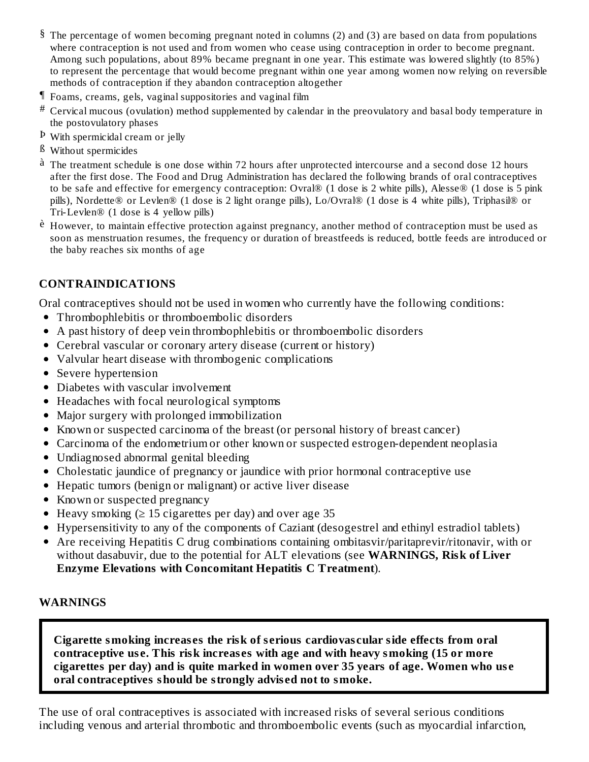- $\S$  The percentage of women becoming pregnant noted in columns (2) and (3) are based on data from populations where contraception is not used and from women who cease using contraception in order to become pregnant. Among such populations, about 89% became pregnant in one year. This estimate was lowered slightly (to 85%) to represent the percentage that would become pregnant within one year among women now relying on reversible methods of contraception if they abandon contraception altogether
- ¶ Foams, creams, gels, vaginal suppositories and vaginal film
- $^\#$  Cervical mucous (ovulation) method supplemented by calendar in the preovulatory and basal body temperature in the postovulatory phases
- Þ With spermicidal cream or jelly
- ß Without spermicides
- à The treatment schedule is one dose within 72 hours after unprotected intercourse and a second dose 12 hours after the first dose. The Food and Drug Administration has declared the following brands of oral contraceptives to be safe and effective for emergency contraception: Ovral® (1 dose is 2 white pills), Alesse® (1 dose is 5 pink pills), Nordette® or Levlen® (1 dose is 2 light orange pills), Lo/Ovral® (1 dose is 4 white pills), Triphasil® or Tri-Levlen® (1 dose is 4 yellow pills)
- è However, to maintain effective protection against pregnancy, another method of contraception must be used as soon as menstruation resumes, the frequency or duration of breastfeeds is reduced, bottle feeds are introduced or the baby reaches six months of age

# **CONTRAINDICATIONS**

Oral contraceptives should not be used in women who currently have the following conditions:

- Thrombophlebitis or thromboembolic disorders
- A past history of deep vein thrombophlebitis or thromboembolic disorders
- Cerebral vascular or coronary artery disease (current or history)
- Valvular heart disease with thrombogenic complications
- Severe hypertension
- Diabetes with vascular involvement
- Headaches with focal neurological symptoms
- Major surgery with prolonged immobilization
- Known or suspected carcinoma of the breast (or personal history of breast cancer)
- Carcinoma of the endometrium or other known or suspected estrogen-dependent neoplasia
- Undiagnosed abnormal genital bleeding
- Cholestatic jaundice of pregnancy or jaundice with prior hormonal contraceptive use
- Hepatic tumors (benign or malignant) or active liver disease
- Known or suspected pregnancy
- $\bullet$  Heavy smoking ( $\geq$  15 cigarettes per day) and over age 35
- Hypersensitivity to any of the components of Caziant (desogestrel and ethinyl estradiol tablets)
- Are receiving Hepatitis C drug combinations containing ombitasvir/paritaprevir/ritonavir, with or without dasabuvir, due to the potential for ALT elevations (see **WARNINGS, Risk of Liver Enzyme Elevations with Concomitant Hepatitis C Treatment**).

#### **WARNINGS**

**Cigarette smoking increas es the risk of s erious cardiovas cular side effects from oral contraceptive us e. This risk increas es with age and with heavy smoking (15 or more cigarettes per day) and is quite marked in women over 35 years of age. Women who us e oral contraceptives should be strongly advis ed not to smoke.**

The use of oral contraceptives is associated with increased risks of several serious conditions including venous and arterial thrombotic and thromboembolic events (such as myocardial infarction,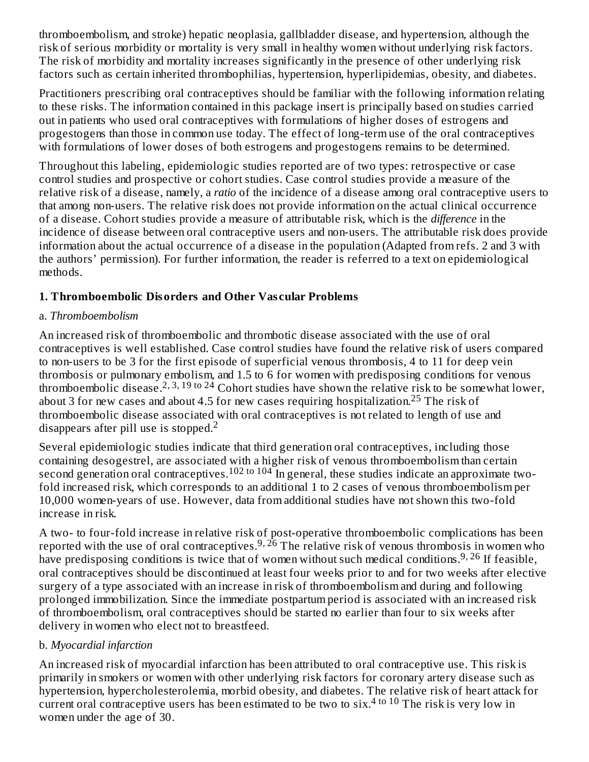thromboembolism, and stroke) hepatic neoplasia, gallbladder disease, and hypertension, although the risk of serious morbidity or mortality is very small in healthy women without underlying risk factors. The risk of morbidity and mortality increases significantly in the presence of other underlying risk factors such as certain inherited thrombophilias, hypertension, hyperlipidemias, obesity, and diabetes.

Practitioners prescribing oral contraceptives should be familiar with the following information relating to these risks. The information contained in this package insert is principally based on studies carried out in patients who used oral contraceptives with formulations of higher doses of estrogens and progestogens than those in common use today. The effect of long-term use of the oral contraceptives with formulations of lower doses of both estrogens and progestogens remains to be determined.

Throughout this labeling, epidemiologic studies reported are of two types: retrospective or case control studies and prospective or cohort studies. Case control studies provide a measure of the relative risk of a disease, namely, a *ratio* of the incidence of a disease among oral contraceptive users to that among non-users. The relative risk does not provide information on the actual clinical occurrence of a disease. Cohort studies provide a measure of attributable risk, which is the *difference* in the incidence of disease between oral contraceptive users and non-users. The attributable risk does provide information about the actual occurrence of a disease in the population (Adapted from refs. 2 and 3 with the authors' permission). For further information, the reader is referred to a text on epidemiological methods.

# **1. Thromboembolic Disorders and Other Vas cular Problems**

# a. *Thromboembolism*

An increased risk of thromboembolic and thrombotic disease associated with the use of oral contraceptives is well established. Case control studies have found the relative risk of users compared to non-users to be 3 for the first episode of superficial venous thrombosis, 4 to 11 for deep vein thrombosis or pulmonary embolism, and 1.5 to 6 for women with predisposing conditions for venous thromboembolic disease.<sup>2, 3, 19 to 24</sup> Cohort studies have shown the relative risk to be somewhat lower, about 3 for new cases and about 4.5 for new cases requiring hospitalization. $^{25}$  The risk of thromboembolic disease associated with oral contraceptives is not related to length of use and disappears after pill use is stopped. $2$ 

Several epidemiologic studies indicate that third generation oral contraceptives, including those containing desogestrel, are associated with a higher risk of venous thromboembolism than certain second generation oral contraceptives.<sup>102 to 104</sup> In general, these studies indicate an approximate twofold increased risk, which corresponds to an additional 1 to 2 cases of venous thromboembolism per 10,000 women-years of use. However, data from additional studies have not shown this two-fold increase in risk.

A two- to four-fold increase in relative risk of post-operative thromboembolic complications has been reported with the use of oral contraceptives.<sup>9, 26</sup> The relative risk of venous thrombosis in women who have predisposing conditions is twice that of women without such medical conditions.<sup>9, 26</sup> If feasible, oral contraceptives should be discontinued at least four weeks prior to and for two weeks after elective surgery of a type associated with an increase in risk of thromboembolism and during and following prolonged immobilization. Since the immediate postpartum period is associated with an increased risk of thromboembolism, oral contraceptives should be started no earlier than four to six weeks after delivery in women who elect not to breastfeed.

# b. *Myocardial infarction*

An increased risk of myocardial infarction has been attributed to oral contraceptive use. This risk is primarily in smokers or women with other underlying risk factors for coronary artery disease such as hypertension, hypercholesterolemia, morbid obesity, and diabetes. The relative risk of heart attack for current oral contraceptive users has been estimated to be two to  $s$ ix.<sup>4 to 10</sup> The risk is very low in women under the age of 30.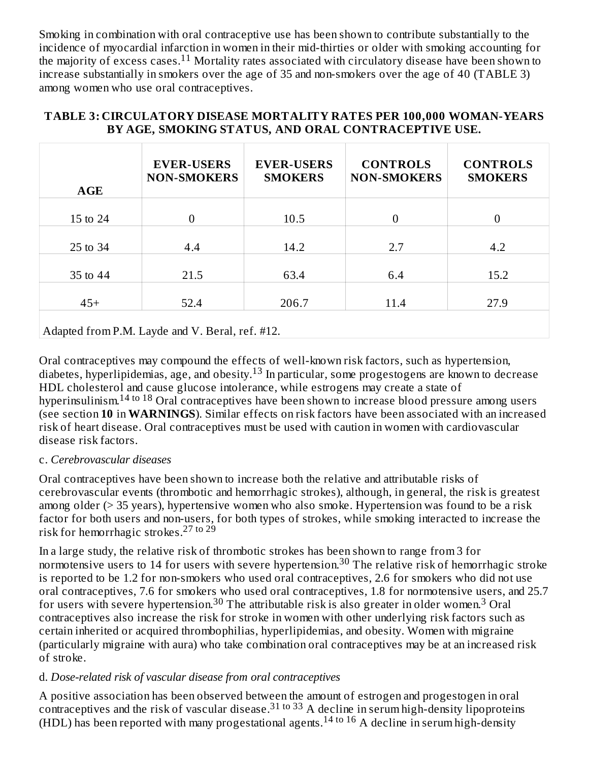Smoking in combination with oral contraceptive use has been shown to contribute substantially to the incidence of myocardial infarction in women in their mid-thirties or older with smoking accounting for the majority of excess cases.<sup>11</sup> Mortality rates associated with circulatory disease have been shown to increase substantially in smokers over the age of 35 and non-smokers over the age of 40 (TABLE 3) among women who use oral contraceptives.

#### **TABLE 3: CIRCULATORY DISEASE MORTALITY RATES PER 100,000 WOMAN-YEARS BY AGE, SMOKING STATUS, AND ORAL CONTRACEPTIVE USE.**

| AGE                                             | <b>EVER-USERS</b><br><b>NON-SMOKERS</b> | <b>EVER-USERS</b><br><b>SMOKERS</b> | <b>CONTROLS</b><br><b>NON-SMOKERS</b> | <b>CONTROLS</b><br><b>SMOKERS</b> |  |
|-------------------------------------------------|-----------------------------------------|-------------------------------------|---------------------------------------|-----------------------------------|--|
|                                                 |                                         |                                     |                                       |                                   |  |
| 15 to 24                                        | $\overline{0}$                          | 10.5                                | $\overline{0}$                        | 0                                 |  |
|                                                 |                                         |                                     |                                       |                                   |  |
| 25 to 34                                        | 4.4                                     | 14.2                                | 2.7                                   | 4.2                               |  |
|                                                 |                                         |                                     |                                       |                                   |  |
| 35 to 44                                        | 21.5                                    | 63.4                                | 6.4                                   | 15.2                              |  |
|                                                 |                                         |                                     |                                       |                                   |  |
| $45+$                                           | 52.4                                    | 206.7                               | 11.4                                  | 27.9                              |  |
| Adapted from P.M. Layde and V. Beral, ref. #12. |                                         |                                     |                                       |                                   |  |

Oral contraceptives may compound the effects of well-known risk factors, such as hypertension, diabetes, hyperlipidemias, age, and obesity.<sup>13</sup> In particular, some progestogens are known to decrease HDL cholesterol and cause glucose intolerance, while estrogens may create a state of hyperinsulinism.<sup>14 to 18</sup> Oral contraceptives have been shown to increase blood pressure among users (see section **10** in **WARNINGS**). Similar effects on risk factors have been associated with an increased risk of heart disease. Oral contraceptives must be used with caution in women with cardiovascular disease risk factors.

#### c. *Cerebrovascular diseases*

Oral contraceptives have been shown to increase both the relative and attributable risks of cerebrovascular events (thrombotic and hemorrhagic strokes), although, in general, the risk is greatest among older (> 35 years), hypertensive women who also smoke. Hypertension was found to be a risk factor for both users and non-users, for both types of strokes, while smoking interacted to increase the risk for hemorrhagic strokes. 27 to 29

In a large study, the relative risk of thrombotic strokes has been shown to range from 3 for normotensive users to 14 for users with severe hypertension.<sup>30</sup> The relative risk of hemorrhagic stroke is reported to be 1.2 for non-smokers who used oral contraceptives, 2.6 for smokers who did not use oral contraceptives, 7.6 for smokers who used oral contraceptives, 1.8 for normotensive users, and 25.7 for users with severe hypertension. $^{30}$  The attributable risk is also greater in older women. $^3$  Oral contraceptives also increase the risk for stroke in women with other underlying risk factors such as certain inherited or acquired thrombophilias, hyperlipidemias, and obesity. Women with migraine (particularly migraine with aura) who take combination oral contraceptives may be at an increased risk of stroke.

# d. *Dose-related risk of vascular disease from oral contraceptives*

A positive association has been observed between the amount of estrogen and progestogen in oral contraceptives and the risk of vascular disease.<sup>31 to 33</sup> A decline in serum high-density lipoproteins (HDL) has been reported with many progestational agents.<sup>14 to 16</sup> A decline in serum high-density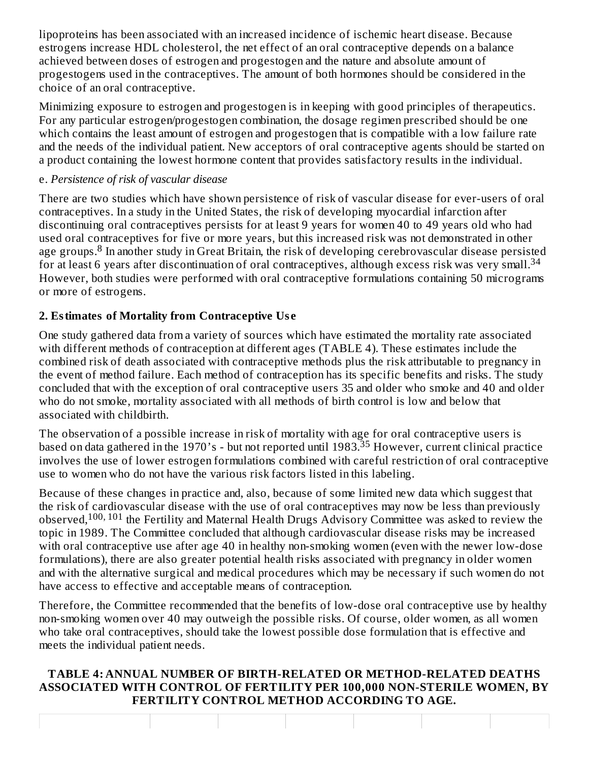lipoproteins has been associated with an increased incidence of ischemic heart disease. Because estrogens increase HDL cholesterol, the net effect of an oral contraceptive depends on a balance achieved between doses of estrogen and progestogen and the nature and absolute amount of progestogens used in the contraceptives. The amount of both hormones should be considered in the choice of an oral contraceptive.

Minimizing exposure to estrogen and progestogen is in keeping with good principles of therapeutics. For any particular estrogen/progestogen combination, the dosage regimen prescribed should be one which contains the least amount of estrogen and progestogen that is compatible with a low failure rate and the needs of the individual patient. New acceptors of oral contraceptive agents should be started on a product containing the lowest hormone content that provides satisfactory results in the individual.

## e. *Persistence of risk of vascular disease*

There are two studies which have shown persistence of risk of vascular disease for ever-users of oral contraceptives. In a study in the United States, the risk of developing myocardial infarction after discontinuing oral contraceptives persists for at least 9 years for women 40 to 49 years old who had used oral contraceptives for five or more years, but this increased risk was not demonstrated in other age groups. $^8$  In another study in Great Britain, the risk of developing cerebrovascular disease persisted for at least 6 years after discontinuation of oral contraceptives, although excess risk was very small.<sup>34</sup> However, both studies were performed with oral contraceptive formulations containing 50 micrograms or more of estrogens.

# **2. Estimates of Mortality from Contraceptive Us e**

One study gathered data from a variety of sources which have estimated the mortality rate associated with different methods of contraception at different ages (TABLE 4). These estimates include the combined risk of death associated with contraceptive methods plus the risk attributable to pregnancy in the event of method failure. Each method of contraception has its specific benefits and risks. The study concluded that with the exception of oral contraceptive users 35 and older who smoke and 40 and older who do not smoke, mortality associated with all methods of birth control is low and below that associated with childbirth.

The observation of a possible increase in risk of mortality with age for oral contraceptive users is based on data gathered in the 1970's - but not reported until 1983. <sup>35</sup> However, current clinical practice involves the use of lower estrogen formulations combined with careful restriction of oral contraceptive use to women who do not have the various risk factors listed in this labeling.

Because of these changes in practice and, also, because of some limited new data which suggest that the risk of cardiovascular disease with the use of oral contraceptives may now be less than previously observed,  $100$ ,  $101$  the Fertility and Maternal Health Drugs Advisory Committee was asked to review the topic in 1989. The Committee concluded that although cardiovascular disease risks may be increased with oral contraceptive use after age 40 in healthy non-smoking women (even with the newer low-dose formulations), there are also greater potential health risks associated with pregnancy in older women and with the alternative surgical and medical procedures which may be necessary if such women do not have access to effective and acceptable means of contraception.

Therefore, the Committee recommended that the benefits of low-dose oral contraceptive use by healthy non-smoking women over 40 may outweigh the possible risks. Of course, older women, as all women who take oral contraceptives, should take the lowest possible dose formulation that is effective and meets the individual patient needs.

#### **TABLE 4: ANNUAL NUMBER OF BIRTH-RELATED OR METHOD-RELATED DEATHS ASSOCIATED WITH CONTROL OF FERTILITY PER 100,000 NON-STERILE WOMEN, BY FERTILITY CONTROL METHOD ACCORDING TO AGE.**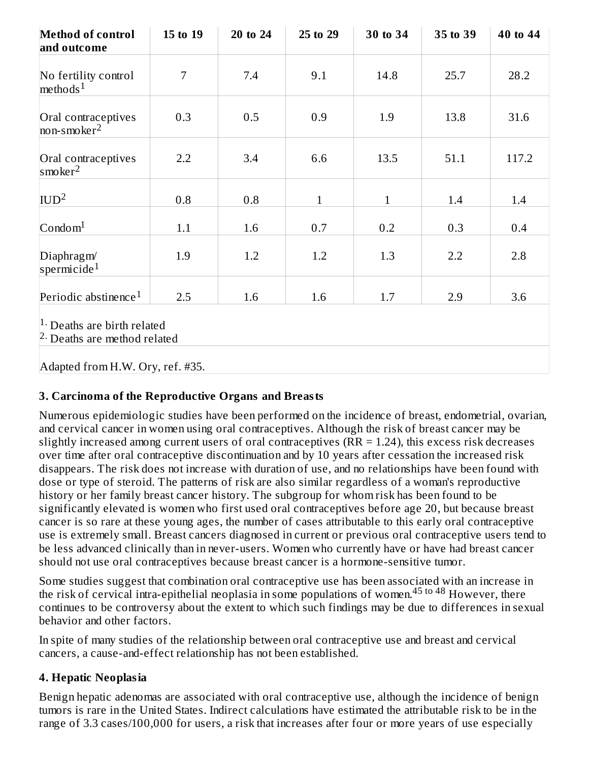| <b>Method of control</b><br>and outcome                                                                        | 15 to 19         | 20 to 24 | 25 to 29     | 30 to 34     | 35 to 39 | 40 to 44 |
|----------------------------------------------------------------------------------------------------------------|------------------|----------|--------------|--------------|----------|----------|
| No fertility control<br>methods <sup>1</sup>                                                                   | $\overline{7}$   | 7.4      | 9.1          | 14.8         | 25.7     | 28.2     |
| Oral contraceptives<br>$non-smoker2$                                                                           | 0.3              | 0.5      | 0.9          | 1.9          | 13.8     | 31.6     |
| Oral contraceptives<br>smoker <sup>2</sup>                                                                     | $2.2\phantom{0}$ | 3.4      | 6.6          | 13.5         | 51.1     | 117.2    |
| IUD <sup>2</sup>                                                                                               | 0.8              | 0.8      | $\mathbf{1}$ | $\mathbf{1}$ | 1.4      | 1.4      |
| Condom <sup>1</sup>                                                                                            | 1.1              | 1.6      | 0.7          | 0.2          | 0.3      | 0.4      |
| Diaphragm/<br>spermicide $1$                                                                                   | 1.9              | 1.2      | 1.2          | 1.3          | 2.2      | 2.8      |
| Periodic abstinence <sup>1</sup>                                                                               | 2.5              | 1.6      | 1.6          | 1.7          | 2.9      | 3.6      |
| $1$ . Deaths are birth related<br><sup>2</sup> . Deaths are method related<br>Adapted from H.W. Ory, ref. #35. |                  |          |              |              |          |          |

# **3. Carcinoma of the Reproductive Organs and Breasts**

Numerous epidemiologic studies have been performed on the incidence of breast, endometrial, ovarian, and cervical cancer in women using oral contraceptives. Although the risk of breast cancer may be slightly increased among current users of oral contraceptives  $(RR = 1.24)$ , this excess risk decreases over time after oral contraceptive discontinuation and by 10 years after cessation the increased risk disappears. The risk does not increase with duration of use, and no relationships have been found with dose or type of steroid. The patterns of risk are also similar regardless of a woman's reproductive history or her family breast cancer history. The subgroup for whom risk has been found to be significantly elevated is women who first used oral contraceptives before age 20, but because breast cancer is so rare at these young ages, the number of cases attributable to this early oral contraceptive use is extremely small. Breast cancers diagnosed in current or previous oral contraceptive users tend to be less advanced clinically than in never-users. Women who currently have or have had breast cancer should not use oral contraceptives because breast cancer is a hormone-sensitive tumor.

Some studies suggest that combination oral contraceptive use has been associated with an increase in the risk of cervical intra-epithelial neoplasia in some populations of women.<sup>45 to 48</sup> However, there continues to be controversy about the extent to which such findings may be due to differences in sexual behavior and other factors.

In spite of many studies of the relationship between oral contraceptive use and breast and cervical cancers, a cause-and-effect relationship has not been established.

#### **4. Hepatic Neoplasia**

Benign hepatic adenomas are associated with oral contraceptive use, although the incidence of benign tumors is rare in the United States. Indirect calculations have estimated the attributable risk to be in the range of 3.3 cases/100,000 for users, a risk that increases after four or more years of use especially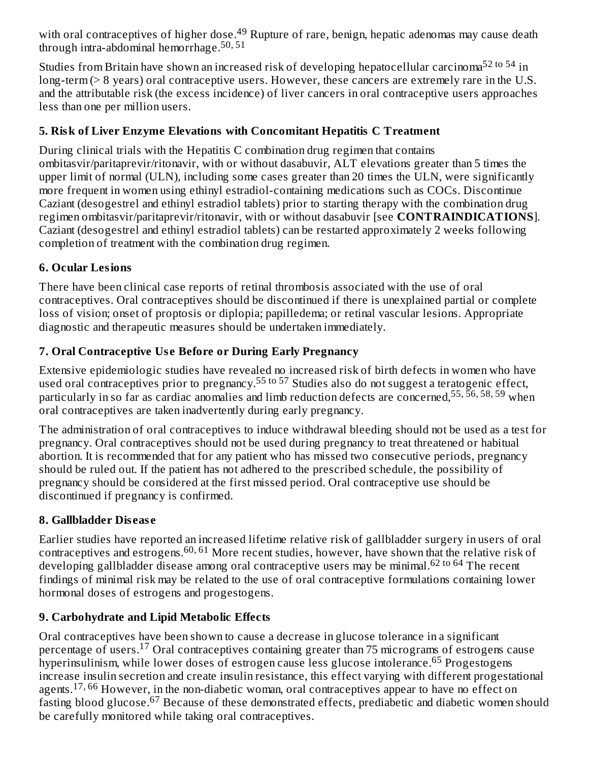with oral contraceptives of higher dose. $^{49}$  Rupture of rare, benign, hepatic adenomas may cause death through intra-abdominal hemorrhage. 50, 51

Studies from Britain have shown an increased risk of developing hepatocellular carcinoma<sup>52 to 54</sup> in long-term (> 8 years) oral contraceptive users. However, these cancers are extremely rare in the U.S. and the attributable risk (the excess incidence) of liver cancers in oral contraceptive users approaches less than one per million users.

# **5. Risk of Liver Enzyme Elevations with Concomitant Hepatitis C Treatment**

During clinical trials with the Hepatitis C combination drug regimen that contains ombitasvir/paritaprevir/ritonavir, with or without dasabuvir, ALT elevations greater than 5 times the upper limit of normal (ULN), including some cases greater than 20 times the ULN, were significantly more frequent in women using ethinyl estradiol-containing medications such as COCs. Discontinue Caziant (desogestrel and ethinyl estradiol tablets) prior to starting therapy with the combination drug regimen ombitasvir/paritaprevir/ritonavir, with or without dasabuvir [see **CONTRAINDICATIONS**]. Caziant (desogestrel and ethinyl estradiol tablets) can be restarted approximately 2 weeks following completion of treatment with the combination drug regimen.

## **6. Ocular Lesions**

There have been clinical case reports of retinal thrombosis associated with the use of oral contraceptives. Oral contraceptives should be discontinued if there is unexplained partial or complete loss of vision; onset of proptosis or diplopia; papilledema; or retinal vascular lesions. Appropriate diagnostic and therapeutic measures should be undertaken immediately.

# **7. Oral Contraceptive Us e Before or During Early Pregnancy**

Extensive epidemiologic studies have revealed no increased risk of birth defects in women who have used oral contraceptives prior to pregnancy.<sup>55 to 57</sup> Studies also do not suggest a teratogenic effect, particularly in so far as cardiac anomalies and limb reduction defects are concerned,  $55, 56, 58, 59$  when oral contraceptives are taken inadvertently during early pregnancy.

The administration of oral contraceptives to induce withdrawal bleeding should not be used as a test for pregnancy. Oral contraceptives should not be used during pregnancy to treat threatened or habitual abortion. It is recommended that for any patient who has missed two consecutive periods, pregnancy should be ruled out. If the patient has not adhered to the prescribed schedule, the possibility of pregnancy should be considered at the first missed period. Oral contraceptive use should be discontinued if pregnancy is confirmed.

# **8. Gallbladder Dis eas e**

Earlier studies have reported an increased lifetime relative risk of gallbladder surgery in users of oral contraceptives and estrogens.  $60, 61$  More recent studies, however, have shown that the relative risk of developing gallbladder disease among oral contraceptive users may be minimal.  $62$  to  $64$  The recent findings of minimal risk may be related to the use of oral contraceptive formulations containing lower hormonal doses of estrogens and progestogens.

# **9. Carbohydrate and Lipid Metabolic Effects**

Oral contraceptives have been shown to cause a decrease in glucose tolerance in a significant percentage of users.<sup>17</sup> Oral contraceptives containing greater than 75 micrograms of estrogens cause  $\overline{\rm h}$ yperinsulinism, while lower doses of estrogen cause less glucose intolerance. $^{65}$  Progestogens increase insulin secretion and create insulin resistance, this effect varying with different progestational agents.  $17,66$  However, in the non-diabetic woman, oral contraceptives appear to have no effect on fasting blood glucose.  $67$  Because of these demonstrated effects, prediabetic and diabetic women should be carefully monitored while taking oral contraceptives.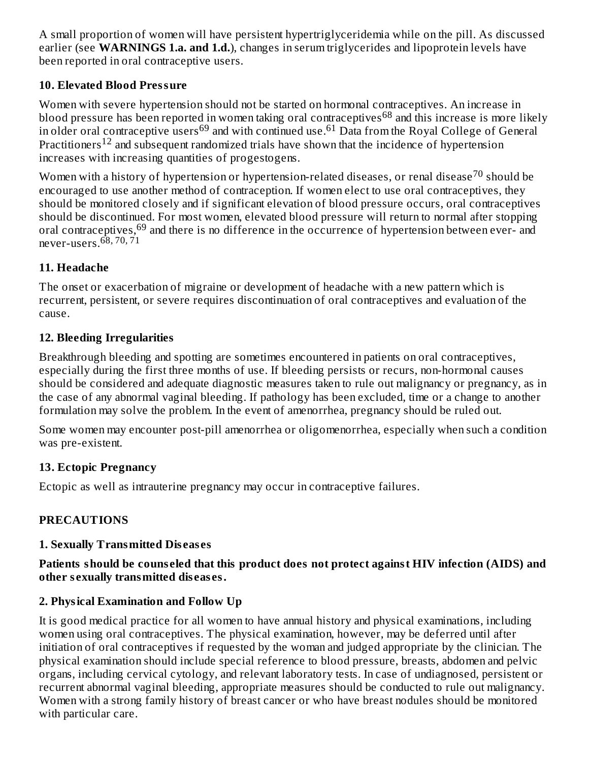A small proportion of women will have persistent hypertriglyceridemia while on the pill. As discussed earlier (see **WARNINGS 1.a. and 1.d.**), changes in serum triglycerides and lipoprotein levels have been reported in oral contraceptive users.

# **10. Elevated Blood Pressure**

Women with severe hypertension should not be started on hormonal contraceptives. An increase in blood pressure has been reported in women taking oral contraceptives $^{68}$  and this increase is more likely in older oral contraceptive users<sup>69</sup> and with continued use.<sup>61</sup> Data from the Royal College of General Practitioners<sup>12</sup> and subsequent randomized trials have shown that the incidence of hypertension increases with increasing quantities of progestogens.

Women with a history of hypertension or hypertension-related diseases, or renal disease $^{70}$  should be encouraged to use another method of contraception. If women elect to use oral contraceptives, they should be monitored closely and if significant elevation of blood pressure occurs, oral contraceptives should be discontinued. For most women, elevated blood pressure will return to normal after stopping oral contraceptives,  $69$  and there is no difference in the occurrence of hypertension between ever- and never-users. 68, 70, 71

# **11. Headache**

The onset or exacerbation of migraine or development of headache with a new pattern which is recurrent, persistent, or severe requires discontinuation of oral contraceptives and evaluation of the cause.

# **12. Bleeding Irregularities**

Breakthrough bleeding and spotting are sometimes encountered in patients on oral contraceptives, especially during the first three months of use. If bleeding persists or recurs, non-hormonal causes should be considered and adequate diagnostic measures taken to rule out malignancy or pregnancy, as in the case of any abnormal vaginal bleeding. If pathology has been excluded, time or a change to another formulation may solve the problem. In the event of amenorrhea, pregnancy should be ruled out.

Some women may encounter post-pill amenorrhea or oligomenorrhea, especially when such a condition was pre-existent.

# **13. Ectopic Pregnancy**

Ectopic as well as intrauterine pregnancy may occur in contraceptive failures.

# **PRECAUTIONS**

# **1. Sexually Transmitted Dis eas es**

#### **Patients should be couns eled that this product does not protect against HIV infection (AIDS) and other s exually transmitted dis eas es.**

# **2. Physical Examination and Follow Up**

It is good medical practice for all women to have annual history and physical examinations, including women using oral contraceptives. The physical examination, however, may be deferred until after initiation of oral contraceptives if requested by the woman and judged appropriate by the clinician. The physical examination should include special reference to blood pressure, breasts, abdomen and pelvic organs, including cervical cytology, and relevant laboratory tests. In case of undiagnosed, persistent or recurrent abnormal vaginal bleeding, appropriate measures should be conducted to rule out malignancy. Women with a strong family history of breast cancer or who have breast nodules should be monitored with particular care.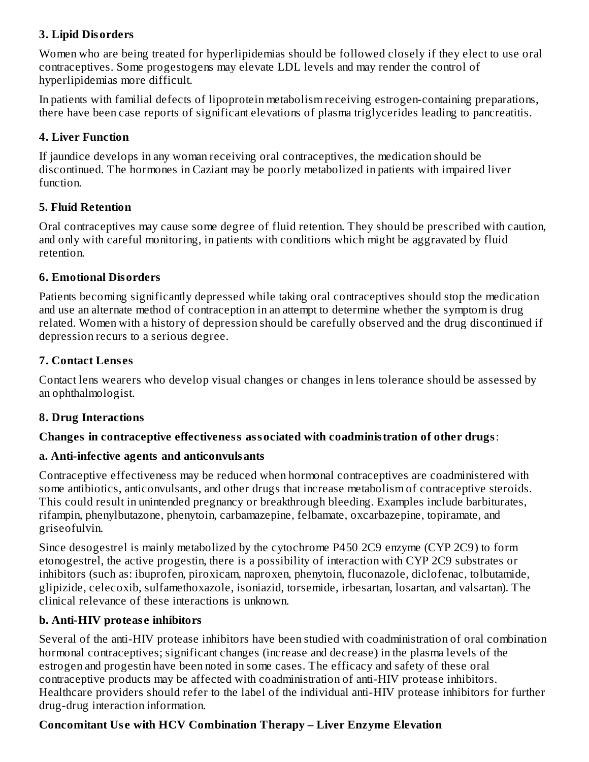# **3. Lipid Disorders**

Women who are being treated for hyperlipidemias should be followed closely if they elect to use oral contraceptives. Some progestogens may elevate LDL levels and may render the control of hyperlipidemias more difficult.

In patients with familial defects of lipoprotein metabolism receiving estrogen-containing preparations, there have been case reports of significant elevations of plasma triglycerides leading to pancreatitis.

## **4. Liver Function**

If jaundice develops in any woman receiving oral contraceptives, the medication should be discontinued. The hormones in Caziant may be poorly metabolized in patients with impaired liver function.

## **5. Fluid Retention**

Oral contraceptives may cause some degree of fluid retention. They should be prescribed with caution, and only with careful monitoring, in patients with conditions which might be aggravated by fluid retention.

# **6. Emotional Disorders**

Patients becoming significantly depressed while taking oral contraceptives should stop the medication and use an alternate method of contraception in an attempt to determine whether the symptom is drug related. Women with a history of depression should be carefully observed and the drug discontinued if depression recurs to a serious degree.

## **7. Contact Lens es**

Contact lens wearers who develop visual changes or changes in lens tolerance should be assessed by an ophthalmologist.

# **8. Drug Interactions**

#### **Changes in contraceptive effectiveness associated with coadministration of other drugs**:

#### **a. Anti-infective agents and anticonvulsants**

Contraceptive effectiveness may be reduced when hormonal contraceptives are coadministered with some antibiotics, anticonvulsants, and other drugs that increase metabolism of contraceptive steroids. This could result in unintended pregnancy or breakthrough bleeding. Examples include barbiturates, rifampin, phenylbutazone, phenytoin, carbamazepine, felbamate, oxcarbazepine, topiramate, and griseofulvin.

Since desogestrel is mainly metabolized by the cytochrome P450 2C9 enzyme (CYP 2C9) to form etonogestrel, the active progestin, there is a possibility of interaction with CYP 2C9 substrates or inhibitors (such as: ibuprofen, piroxicam, naproxen, phenytoin, fluconazole, diclofenac, tolbutamide, glipizide, celecoxib, sulfamethoxazole, isoniazid, torsemide, irbesartan, losartan, and valsartan). The clinical relevance of these interactions is unknown.

# **b. Anti-HIV proteas e inhibitors**

Several of the anti-HIV protease inhibitors have been studied with coadministration of oral combination hormonal contraceptives; significant changes (increase and decrease) in the plasma levels of the estrogen and progestin have been noted in some cases. The efficacy and safety of these oral contraceptive products may be affected with coadministration of anti-HIV protease inhibitors. Healthcare providers should refer to the label of the individual anti-HIV protease inhibitors for further drug-drug interaction information.

# **Concomitant Us e with HCV Combination Therapy – Liver Enzyme Elevation**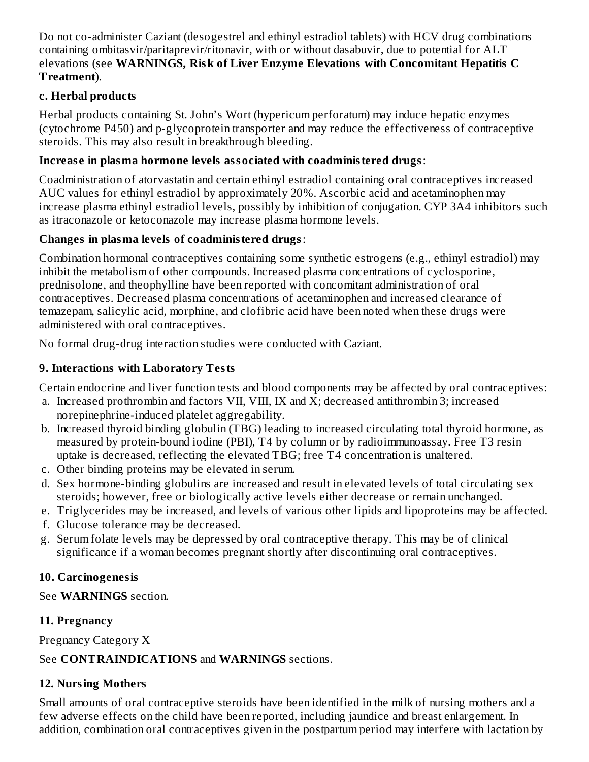Do not co-administer Caziant (desogestrel and ethinyl estradiol tablets) with HCV drug combinations containing ombitasvir/paritaprevir/ritonavir, with or without dasabuvir, due to potential for ALT elevations (see **WARNINGS, Risk of Liver Enzyme Elevations with Concomitant Hepatitis C Treatment**).

# **c. Herbal products**

Herbal products containing St. John's Wort (hypericum perforatum) may induce hepatic enzymes (cytochrome P450) and p-glycoprotein transporter and may reduce the effectiveness of contraceptive steroids. This may also result in breakthrough bleeding.

# **Increas e in plasma hormone levels associated with coadministered drugs**:

Coadministration of atorvastatin and certain ethinyl estradiol containing oral contraceptives increased AUC values for ethinyl estradiol by approximately 20%. Ascorbic acid and acetaminophen may increase plasma ethinyl estradiol levels, possibly by inhibition of conjugation. CYP 3A4 inhibitors such as itraconazole or ketoconazole may increase plasma hormone levels.

# **Changes in plasma levels of coadministered drugs**:

Combination hormonal contraceptives containing some synthetic estrogens (e.g., ethinyl estradiol) may inhibit the metabolism of other compounds. Increased plasma concentrations of cyclosporine, prednisolone, and theophylline have been reported with concomitant administration of oral contraceptives. Decreased plasma concentrations of acetaminophen and increased clearance of temazepam, salicylic acid, morphine, and clofibric acid have been noted when these drugs were administered with oral contraceptives.

No formal drug-drug interaction studies were conducted with Caziant.

# **9. Interactions with Laboratory Tests**

Certain endocrine and liver function tests and blood components may be affected by oral contraceptives:

- a. Increased prothrombin and factors VII, VIII, IX and X; decreased antithrombin 3; increased norepinephrine-induced platelet aggregability.
- b. Increased thyroid binding globulin (TBG) leading to increased circulating total thyroid hormone, as measured by protein-bound iodine (PBI), T4 by column or by radioimmunoassay. Free T3 resin uptake is decreased, reflecting the elevated TBG; free T4 concentration is unaltered.
- c. Other binding proteins may be elevated in serum.
- d. Sex hormone-binding globulins are increased and result in elevated levels of total circulating sex steroids; however, free or biologically active levels either decrease or remain unchanged.
- e. Triglycerides may be increased, and levels of various other lipids and lipoproteins may be affected.
- f. Glucose tolerance may be decreased.
- g. Serum folate levels may be depressed by oral contraceptive therapy. This may be of clinical significance if a woman becomes pregnant shortly after discontinuing oral contraceptives.

# **10. Carcinogenesis**

See **WARNINGS** section.

# **11. Pregnancy**

Pregnancy Category X

See **CONTRAINDICATIONS** and **WARNINGS** sections.

# **12. Nursing Mothers**

Small amounts of oral contraceptive steroids have been identified in the milk of nursing mothers and a few adverse effects on the child have been reported, including jaundice and breast enlargement. In addition, combination oral contraceptives given in the postpartum period may interfere with lactation by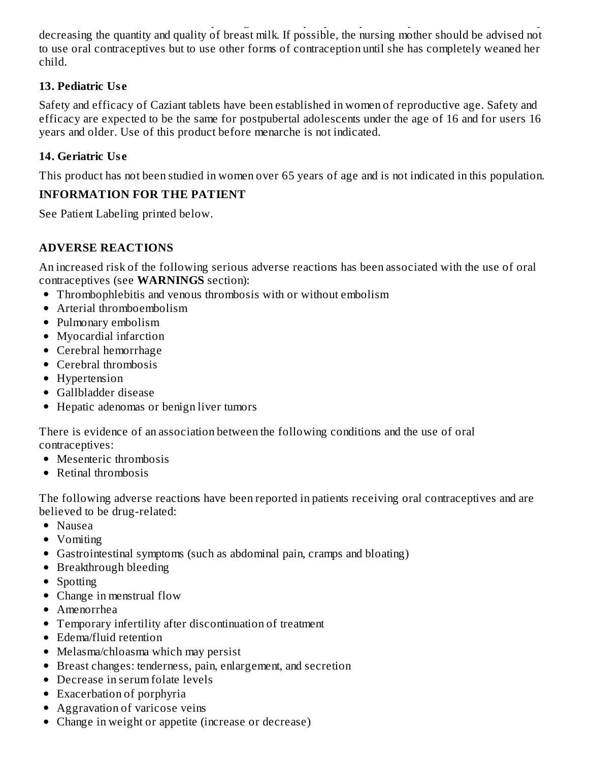addition, combination oral contraceptives given in the postpartum period may interfere with lactation by decreasing the quantity and quality of breast milk. If possible, the nursing mother should be advised not to use oral contraceptives but to use other forms of contraception until she has completely weaned her child.

# **13. Pediatric Us e**

Safety and efficacy of Caziant tablets have been established in women of reproductive age. Safety and efficacy are expected to be the same for postpubertal adolescents under the age of 16 and for users 16 years and older. Use of this product before menarche is not indicated.

# **14. Geriatric Us e**

This product has not been studied in women over 65 years of age and is not indicated in this population.

## **INFORMATION FOR THE PATIENT**

See Patient Labeling printed below.

# **ADVERSE REACTIONS**

An increased risk of the following serious adverse reactions has been associated with the use of oral contraceptives (see **WARNINGS** section):

- Thrombophlebitis and venous thrombosis with or without embolism
- Arterial thromboembolism
- Pulmonary embolism
- Myocardial infarction
- Cerebral hemorrhage
- Cerebral thrombosis
- Hypertension
- Gallbladder disease
- Hepatic adenomas or benign liver tumors

There is evidence of an association between the following conditions and the use of oral contraceptives:

- Mesenteric thrombosis
- Retinal thrombosis

The following adverse reactions have been reported in patients receiving oral contraceptives and are believed to be drug-related:

- Nausea
- Vomiting
- Gastrointestinal symptoms (such as abdominal pain, cramps and bloating)
- Breakthrough bleeding
- Spotting
- Change in menstrual flow
- Amenorrhea
- Temporary infertility after discontinuation of treatment
- Edema/fluid retention
- Melasma/chloasma which may persist
- Breast changes: tenderness, pain, enlargement, and secretion
- Decrease in serum folate levels
- Exacerbation of porphyria
- Aggravation of varicose veins
- Change in weight or appetite (increase or decrease)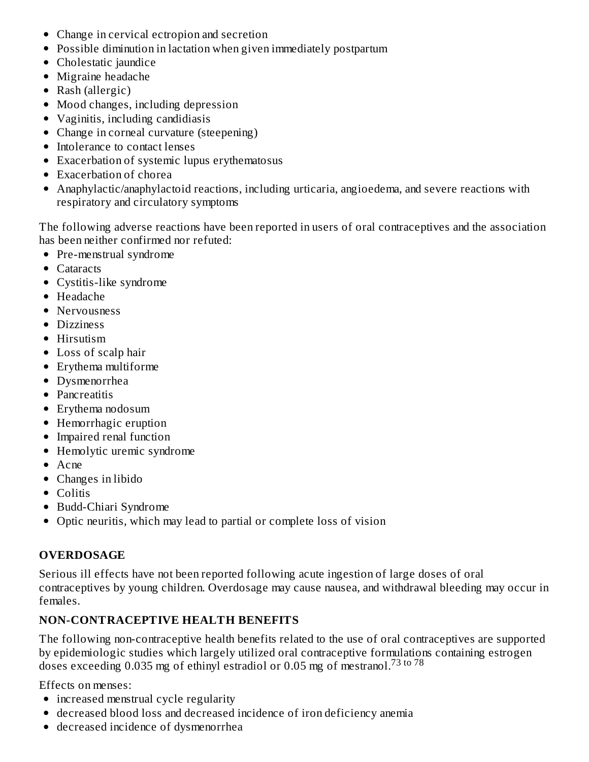- Change in cervical ectropion and secretion
- Possible diminution in lactation when given immediately postpartum
- Cholestatic jaundice
- Migraine headache
- Rash (allergic)
- Mood changes, including depression
- Vaginitis, including candidiasis
- Change in corneal curvature (steepening)
- Intolerance to contact lenses
- Exacerbation of systemic lupus erythematosus
- Exacerbation of chorea
- Anaphylactic/anaphylactoid reactions, including urticaria, angioedema, and severe reactions with respiratory and circulatory symptoms

The following adverse reactions have been reported in users of oral contraceptives and the association has been neither confirmed nor refuted:

- Pre-menstrual syndrome
- Cataracts
- Cystitis-like syndrome
- Headache
- Nervousness
- Dizziness
- Hirsutism
- Loss of scalp hair
- Erythema multiforme
- Dysmenorrhea
- Pancreatitis
- Erythema nodosum
- Hemorrhagic eruption
- Impaired renal function
- Hemolytic uremic syndrome
- Acne
- Changes in libido
- Colitis
- Budd-Chiari Syndrome
- Optic neuritis, which may lead to partial or complete loss of vision

# **OVERDOSAGE**

Serious ill effects have not been reported following acute ingestion of large doses of oral contraceptives by young children. Overdosage may cause nausea, and withdrawal bleeding may occur in females.

# **NON-CONTRACEPTIVE HEALTH BENEFITS**

The following non-contraceptive health benefits related to the use of oral contraceptives are supported by epidemiologic studies which largely utilized oral contraceptive formulations containing estrogen doses exceeding 0.035 mg of ethinyl estradiol or 0.05 mg of mestranol.<sup>73 to 78</sup>

Effects on menses:

- increased menstrual cycle regularity
- decreased blood loss and decreased incidence of iron deficiency anemia
- decreased incidence of dysmenorrhea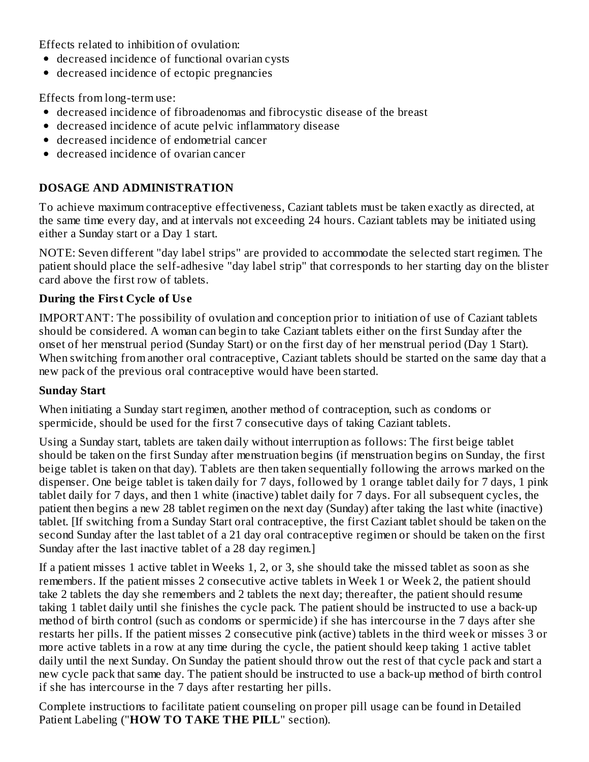Effects related to inhibition of ovulation:

- decreased incidence of functional ovarian cysts
- decreased incidence of ectopic pregnancies

Effects from long-term use:

- decreased incidence of fibroadenomas and fibrocystic disease of the breast
- decreased incidence of acute pelvic inflammatory disease
- decreased incidence of endometrial cancer
- decreased incidence of ovarian cancer

# **DOSAGE AND ADMINISTRATION**

To achieve maximum contraceptive effectiveness, Caziant tablets must be taken exactly as directed, at the same time every day, and at intervals not exceeding 24 hours. Caziant tablets may be initiated using either a Sunday start or a Day 1 start.

NOTE: Seven different "day label strips" are provided to accommodate the selected start regimen. The patient should place the self-adhesive "day label strip" that corresponds to her starting day on the blister card above the first row of tablets.

## **During the First Cycle of Us e**

IMPORTANT: The possibility of ovulation and conception prior to initiation of use of Caziant tablets should be considered. A woman can begin to take Caziant tablets either on the first Sunday after the onset of her menstrual period (Sunday Start) or on the first day of her menstrual period (Day 1 Start). When switching from another oral contraceptive, Caziant tablets should be started on the same day that a new pack of the previous oral contraceptive would have been started.

#### **Sunday Start**

When initiating a Sunday start regimen, another method of contraception, such as condoms or spermicide, should be used for the first 7 consecutive days of taking Caziant tablets.

Using a Sunday start, tablets are taken daily without interruption as follows: The first beige tablet should be taken on the first Sunday after menstruation begins (if menstruation begins on Sunday, the first beige tablet is taken on that day). Tablets are then taken sequentially following the arrows marked on the dispenser. One beige tablet is taken daily for 7 days, followed by 1 orange tablet daily for 7 days, 1 pink tablet daily for 7 days, and then 1 white (inactive) tablet daily for 7 days. For all subsequent cycles, the patient then begins a new 28 tablet regimen on the next day (Sunday) after taking the last white (inactive) tablet. [If switching from a Sunday Start oral contraceptive, the first Caziant tablet should be taken on the second Sunday after the last tablet of a 21 day oral contraceptive regimen or should be taken on the first Sunday after the last inactive tablet of a 28 day regimen.]

If a patient misses 1 active tablet in Weeks 1, 2, or 3, she should take the missed tablet as soon as she remembers. If the patient misses 2 consecutive active tablets in Week 1 or Week 2, the patient should take 2 tablets the day she remembers and 2 tablets the next day; thereafter, the patient should resume taking 1 tablet daily until she finishes the cycle pack. The patient should be instructed to use a back-up method of birth control (such as condoms or spermicide) if she has intercourse in the 7 days after she restarts her pills. If the patient misses 2 consecutive pink (active) tablets in the third week or misses 3 or more active tablets in a row at any time during the cycle, the patient should keep taking 1 active tablet daily until the next Sunday. On Sunday the patient should throw out the rest of that cycle pack and start a new cycle pack that same day. The patient should be instructed to use a back-up method of birth control if she has intercourse in the 7 days after restarting her pills.

Complete instructions to facilitate patient counseling on proper pill usage can be found in Detailed Patient Labeling ("**HOW TO TAKE THE PILL**" section).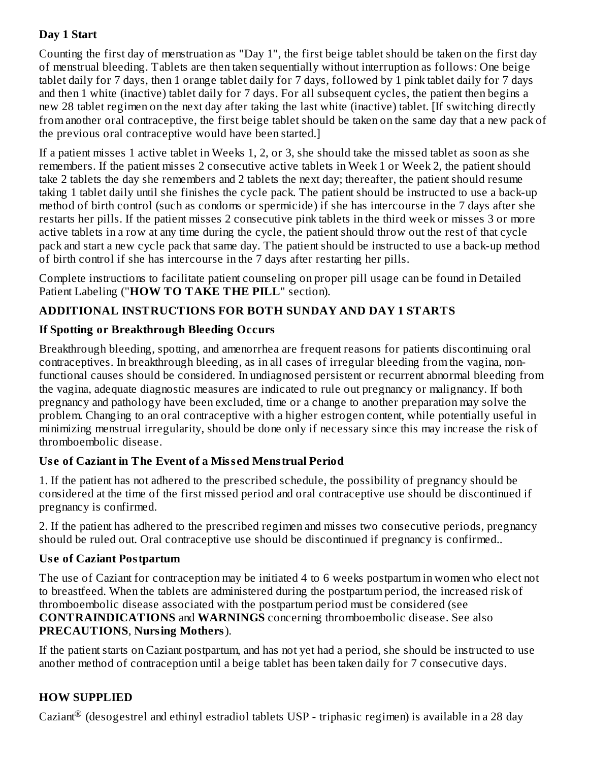# **Day 1 Start**

Counting the first day of menstruation as "Day 1", the first beige tablet should be taken on the first day of menstrual bleeding. Tablets are then taken sequentially without interruption as follows: One beige tablet daily for 7 days, then 1 orange tablet daily for 7 days, followed by 1 pink tablet daily for 7 days and then 1 white (inactive) tablet daily for 7 days. For all subsequent cycles, the patient then begins a new 28 tablet regimen on the next day after taking the last white (inactive) tablet. [If switching directly from another oral contraceptive, the first beige tablet should be taken on the same day that a new pack of the previous oral contraceptive would have been started.]

If a patient misses 1 active tablet in Weeks 1, 2, or 3, she should take the missed tablet as soon as she remembers. If the patient misses 2 consecutive active tablets in Week 1 or Week 2, the patient should take 2 tablets the day she remembers and 2 tablets the next day; thereafter, the patient should resume taking 1 tablet daily until she finishes the cycle pack. The patient should be instructed to use a back-up method of birth control (such as condoms or spermicide) if she has intercourse in the 7 days after she restarts her pills. If the patient misses 2 consecutive pink tablets in the third week or misses 3 or more active tablets in a row at any time during the cycle, the patient should throw out the rest of that cycle pack and start a new cycle pack that same day. The patient should be instructed to use a back-up method of birth control if she has intercourse in the 7 days after restarting her pills.

Complete instructions to facilitate patient counseling on proper pill usage can be found in Detailed Patient Labeling ("**HOW TO TAKE THE PILL**" section).

# **ADDITIONAL INSTRUCTIONS FOR BOTH SUNDAY AND DAY 1 STARTS**

# **If Spotting or Breakthrough Bleeding Occurs**

Breakthrough bleeding, spotting, and amenorrhea are frequent reasons for patients discontinuing oral contraceptives. In breakthrough bleeding, as in all cases of irregular bleeding from the vagina, nonfunctional causes should be considered. In undiagnosed persistent or recurrent abnormal bleeding from the vagina, adequate diagnostic measures are indicated to rule out pregnancy or malignancy. If both pregnancy and pathology have been excluded, time or a change to another preparation may solve the problem. Changing to an oral contraceptive with a higher estrogen content, while potentially useful in minimizing menstrual irregularity, should be done only if necessary since this may increase the risk of thromboembolic disease.

# **Us e of Caziant in The Event of a Miss ed Menstrual Period**

1. If the patient has not adhered to the prescribed schedule, the possibility of pregnancy should be considered at the time of the first missed period and oral contraceptive use should be discontinued if pregnancy is confirmed.

2. If the patient has adhered to the prescribed regimen and misses two consecutive periods, pregnancy should be ruled out. Oral contraceptive use should be discontinued if pregnancy is confirmed..

# **Us e of Caziant Postpartum**

The use of Caziant for contraception may be initiated 4 to 6 weeks postpartum in women who elect not to breastfeed. When the tablets are administered during the postpartum period, the increased risk of thromboembolic disease associated with the postpartum period must be considered (see **CONTRAINDICATIONS** and **WARNINGS** concerning thromboembolic disease. See also **PRECAUTIONS**, **Nursing Mothers**).

If the patient starts on Caziant postpartum, and has not yet had a period, she should be instructed to use another method of contraception until a beige tablet has been taken daily for 7 consecutive days.

# **HOW SUPPLIED**

Caziant<sup>®</sup> (desogestrel and ethinyl estradiol tablets USP - triphasic regimen) is available in a 28 day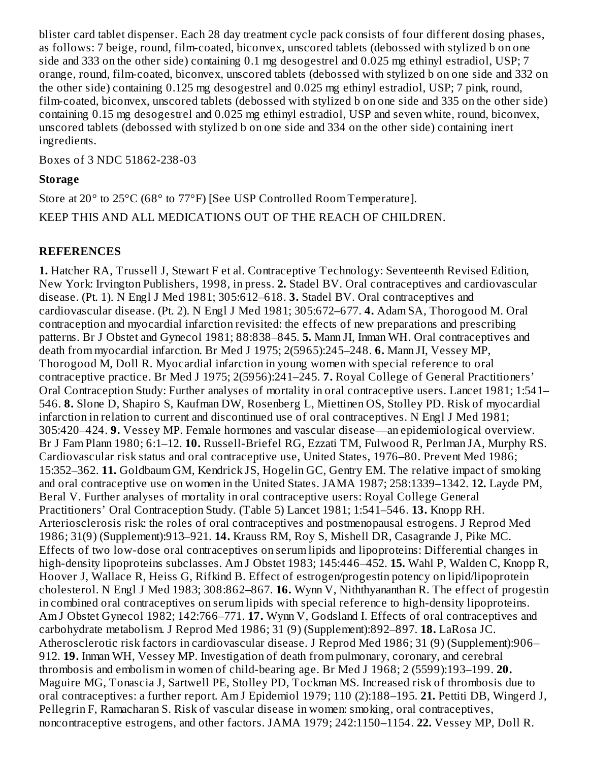blister card tablet dispenser. Each 28 day treatment cycle pack consists of four different dosing phases, as follows: 7 beige, round, film-coated, biconvex, unscored tablets (debossed with stylized b on one side and 333 on the other side) containing 0.1 mg desogestrel and 0.025 mg ethinyl estradiol, USP; 7 orange, round, film-coated, biconvex, unscored tablets (debossed with stylized b on one side and 332 on the other side) containing 0.125 mg desogestrel and 0.025 mg ethinyl estradiol, USP; 7 pink, round, film-coated, biconvex, unscored tablets (debossed with stylized b on one side and 335 on the other side) containing 0.15 mg desogestrel and 0.025 mg ethinyl estradiol, USP and seven white, round, biconvex, unscored tablets (debossed with stylized b on one side and 334 on the other side) containing inert ingredients.

Boxes of 3 NDC 51862-238-03

#### **Storage**

Store at 20° to 25°C (68° to 77°F) [See USP Controlled Room Temperature]. KEEP THIS AND ALL MEDICATIONS OUT OF THE REACH OF CHILDREN.

#### **REFERENCES**

**1.** Hatcher RA, Trussell J, Stewart F et al. Contraceptive Technology: Seventeenth Revised Edition, New York: Irvington Publishers, 1998, in press. **2.** Stadel BV. Oral contraceptives and cardiovascular disease. (Pt. 1). N Engl J Med 1981; 305:612–618. **3.** Stadel BV. Oral contraceptives and cardiovascular disease. (Pt. 2). N Engl J Med 1981; 305:672–677. **4.** Adam SA, Thorogood M. Oral contraception and myocardial infarction revisited: the effects of new preparations and prescribing patterns. Br J Obstet and Gynecol 1981; 88:838–845. **5.** Mann JI, Inman WH. Oral contraceptives and death from myocardial infarction. Br Med J 1975; 2(5965):245–248. **6.** Mann JI, Vessey MP, Thorogood M, Doll R. Myocardial infarction in young women with special reference to oral contraceptive practice. Br Med J 1975; 2(5956):241–245. **7.** Royal College of General Practitioners' Oral Contraception Study: Further analyses of mortality in oral contraceptive users. Lancet 1981; 1:541– 546. **8.** Slone D, Shapiro S, Kaufman DW, Rosenberg L, Miettinen OS, Stolley PD. Risk of myocardial infarction in relation to current and discontinued use of oral contraceptives. N Engl J Med 1981; 305:420–424. **9.** Vessey MP. Female hormones and vascular disease—an epidemiological overview. Br J Fam Plann 1980; 6:1–12. **10.** Russell-Briefel RG, Ezzati TM, Fulwood R, Perlman JA, Murphy RS. Cardiovascular risk status and oral contraceptive use, United States, 1976–80. Prevent Med 1986; 15:352–362. **11.** Goldbaum GM, Kendrick JS, Hogelin GC, Gentry EM. The relative impact of smoking and oral contraceptive use on women in the United States. JAMA 1987; 258:1339–1342. **12.** Layde PM, Beral V. Further analyses of mortality in oral contraceptive users: Royal College General Practitioners' Oral Contraception Study. (Table 5) Lancet 1981; 1:541–546. **13.** Knopp RH. Arteriosclerosis risk: the roles of oral contraceptives and postmenopausal estrogens. J Reprod Med 1986; 31(9) (Supplement):913–921. **14.** Krauss RM, Roy S, Mishell DR, Casagrande J, Pike MC. Effects of two low-dose oral contraceptives on serum lipids and lipoproteins: Differential changes in high-density lipoproteins subclasses. Am J Obstet 1983; 145:446–452. **15.** Wahl P, Walden C, Knopp R, Hoover J, Wallace R, Heiss G, Rifkind B. Effect of estrogen/progestin potency on lipid/lipoprotein cholesterol. N Engl J Med 1983; 308:862–867. **16.** Wynn V, Niththyananthan R. The effect of progestin in combined oral contraceptives on serum lipids with special reference to high-density lipoproteins. Am J Obstet Gynecol 1982; 142:766–771. **17.** Wynn V, Godsland I. Effects of oral contraceptives and carbohydrate metabolism. J Reprod Med 1986; 31 (9) (Supplement):892–897. **18.** LaRosa JC. Atherosclerotic risk factors in cardiovascular disease. J Reprod Med 1986; 31 (9) (Supplement):906– 912. **19.** Inman WH, Vessey MP. Investigation of death from pulmonary, coronary, and cerebral thrombosis and embolism in women of child-bearing age. Br Med J 1968; 2 (5599):193–199. **20.** Maguire MG, Tonascia J, Sartwell PE, Stolley PD, Tockman MS. Increased risk of thrombosis due to oral contraceptives: a further report. Am J Epidemiol 1979; 110 (2):188–195. **21.** Pettiti DB, Wingerd J, Pellegrin F, Ramacharan S. Risk of vascular disease in women: smoking, oral contraceptives, noncontraceptive estrogens, and other factors. JAMA 1979; 242:1150–1154. **22.** Vessey MP, Doll R.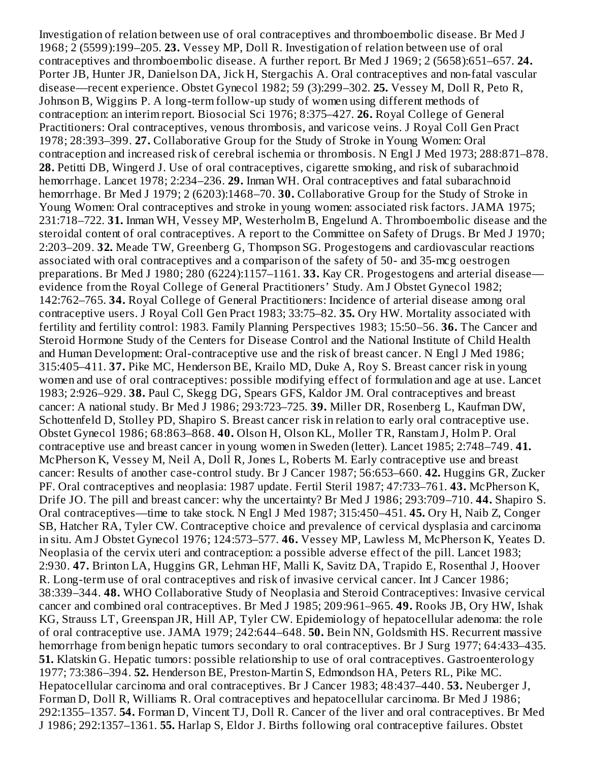Investigation of relation between use of oral contraceptives and thromboembolic disease. Br Med J 1968; 2 (5599):199–205. **23.** Vessey MP, Doll R. Investigation of relation between use of oral contraceptives and thromboembolic disease. A further report. Br Med J 1969; 2 (5658):651–657. **24.** Porter JB, Hunter JR, Danielson DA, Jick H, Stergachis A. Oral contraceptives and non-fatal vascular disease—recent experience. Obstet Gynecol 1982; 59 (3):299–302. **25.** Vessey M, Doll R, Peto R, Johnson B, Wiggins P. A long-term follow-up study of women using different methods of contraception: an interim report. Biosocial Sci 1976; 8:375–427. **26.** Royal College of General Practitioners: Oral contraceptives, venous thrombosis, and varicose veins. J Royal Coll Gen Pract 1978; 28:393–399. **27.** Collaborative Group for the Study of Stroke in Young Women: Oral contraception and increased risk of cerebral ischemia or thrombosis. N Engl J Med 1973; 288:871–878. **28.** Petitti DB, Wingerd J. Use of oral contraceptives, cigarette smoking, and risk of subarachnoid hemorrhage. Lancet 1978; 2:234–236. **29.** Inman WH. Oral contraceptives and fatal subarachnoid hemorrhage. Br Med J 1979; 2 (6203):1468–70. **30.** Collaborative Group for the Study of Stroke in Young Women: Oral contraceptives and stroke in young women: associated risk factors. JAMA 1975; 231:718–722. **31.** Inman WH, Vessey MP, Westerholm B, Engelund A. Thromboembolic disease and the steroidal content of oral contraceptives. A report to the Committee on Safety of Drugs. Br Med J 1970; 2:203–209. **32.** Meade TW, Greenberg G, Thompson SG. Progestogens and cardiovascular reactions associated with oral contraceptives and a comparison of the safety of 50- and 35-mcg oestrogen preparations. Br Med J 1980; 280 (6224):1157–1161. **33.** Kay CR. Progestogens and arterial disease evidence from the Royal College of General Practitioners' Study. Am J Obstet Gynecol 1982; 142:762–765. **34.** Royal College of General Practitioners: Incidence of arterial disease among oral contraceptive users. J Royal Coll Gen Pract 1983; 33:75–82. **35.** Ory HW. Mortality associated with fertility and fertility control: 1983. Family Planning Perspectives 1983; 15:50–56. **36.** The Cancer and Steroid Hormone Study of the Centers for Disease Control and the National Institute of Child Health and Human Development: Oral-contraceptive use and the risk of breast cancer. N Engl J Med 1986; 315:405–411. **37.** Pike MC, Henderson BE, Krailo MD, Duke A, Roy S. Breast cancer risk in young women and use of oral contraceptives: possible modifying effect of formulation and age at use. Lancet 1983; 2:926–929. **38.** Paul C, Skegg DG, Spears GFS, Kaldor JM. Oral contraceptives and breast cancer: A national study. Br Med J 1986; 293:723–725. **39.** Miller DR, Rosenberg L, Kaufman DW, Schottenfeld D, Stolley PD, Shapiro S. Breast cancer risk in relation to early oral contraceptive use. Obstet Gynecol 1986; 68:863–868. **40.** Olson H, Olson KL, Moller TR, Ranstam J, Holm P. Oral contraceptive use and breast cancer in young women in Sweden (letter). Lancet 1985; 2:748–749. **41.** McPherson K, Vessey M, Neil A, Doll R, Jones L, Roberts M. Early contraceptive use and breast cancer: Results of another case-control study. Br J Cancer 1987; 56:653–660. **42.** Huggins GR, Zucker PF. Oral contraceptives and neoplasia: 1987 update. Fertil Steril 1987; 47:733–761. **43.** McPherson K, Drife JO. The pill and breast cancer: why the uncertainty? Br Med J 1986; 293:709–710. **44.** Shapiro S. Oral contraceptives—time to take stock. N Engl J Med 1987; 315:450–451. **45.** Ory H, Naib Z, Conger SB, Hatcher RA, Tyler CW. Contraceptive choice and prevalence of cervical dysplasia and carcinoma in situ. Am J Obstet Gynecol 1976; 124:573–577. **46.** Vessey MP, Lawless M, McPherson K, Yeates D. Neoplasia of the cervix uteri and contraception: a possible adverse effect of the pill. Lancet 1983; 2:930. **47.** Brinton LA, Huggins GR, Lehman HF, Malli K, Savitz DA, Trapido E, Rosenthal J, Hoover R. Long-term use of oral contraceptives and risk of invasive cervical cancer. Int J Cancer 1986; 38:339–344. **48.** WHO Collaborative Study of Neoplasia and Steroid Contraceptives: Invasive cervical cancer and combined oral contraceptives. Br Med J 1985; 209:961–965. **49.** Rooks JB, Ory HW, Ishak KG, Strauss LT, Greenspan JR, Hill AP, Tyler CW. Epidemiology of hepatocellular adenoma: the role of oral contraceptive use. JAMA 1979; 242:644–648. **50.** Bein NN, Goldsmith HS. Recurrent massive hemorrhage from benign hepatic tumors secondary to oral contraceptives. Br J Surg 1977; 64:433–435. **51.** Klatskin G. Hepatic tumors: possible relationship to use of oral contraceptives. Gastroenterology 1977; 73:386–394. **52.** Henderson BE, Preston-Martin S, Edmondson HA, Peters RL, Pike MC. Hepatocellular carcinoma and oral contraceptives. Br J Cancer 1983; 48:437–440. **53.** Neuberger J, Forman D, Doll R, Williams R. Oral contraceptives and hepatocellular carcinoma. Br Med J 1986; 292:1355–1357. **54.** Forman D, Vincent TJ, Doll R. Cancer of the liver and oral contraceptives. Br Med J 1986; 292:1357–1361. **55.** Harlap S, Eldor J. Births following oral contraceptive failures. Obstet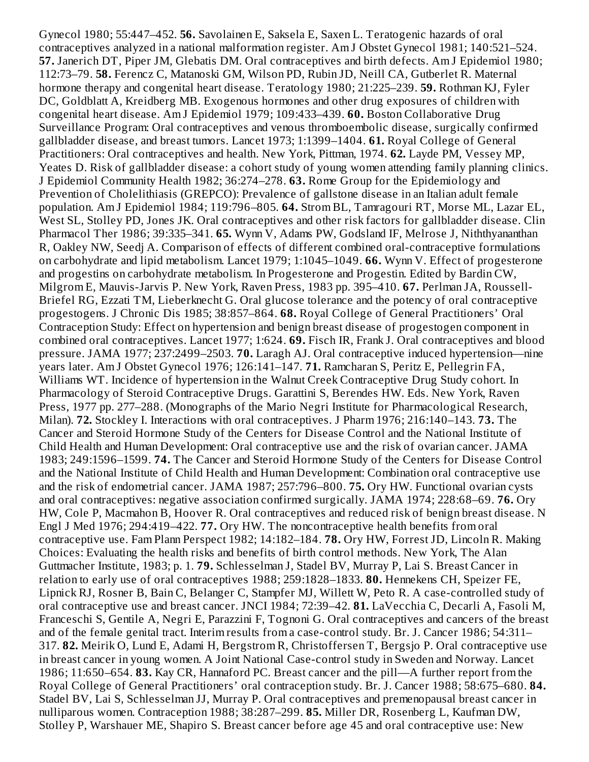Gynecol 1980; 55:447–452. **56.** Savolainen E, Saksela E, Saxen L. Teratogenic hazards of oral contraceptives analyzed in a national malformation register. Am J Obstet Gynecol 1981; 140:521–524. **57.** Janerich DT, Piper JM, Glebatis DM. Oral contraceptives and birth defects. Am J Epidemiol 1980; 112:73–79. **58.** Ferencz C, Matanoski GM, Wilson PD, Rubin JD, Neill CA, Gutberlet R. Maternal hormone therapy and congenital heart disease. Teratology 1980; 21:225–239. **59.** Rothman KJ, Fyler DC, Goldblatt A, Kreidberg MB. Exogenous hormones and other drug exposures of children with congenital heart disease. Am J Epidemiol 1979; 109:433–439. **60.** Boston Collaborative Drug Surveillance Program: Oral contraceptives and venous thromboembolic disease, surgically confirmed gallbladder disease, and breast tumors. Lancet 1973; 1:1399–1404. **61.** Royal College of General Practitioners: Oral contraceptives and health. New York, Pittman, 1974. **62.** Layde PM, Vessey MP, Yeates D. Risk of gallbladder disease: a cohort study of young women attending family planning clinics. J Epidemiol Community Health 1982; 36:274–278. **63.** Rome Group for the Epidemiology and Prevention of Cholelithiasis (GREPCO): Prevalence of gallstone disease in an Italian adult female population. Am J Epidemiol 1984; 119:796–805. **64.** Strom BL, Tamragouri RT, Morse ML, Lazar EL, West SL, Stolley PD, Jones JK. Oral contraceptives and other risk factors for gallbladder disease. Clin Pharmacol Ther 1986; 39:335–341. **65.** Wynn V, Adams PW, Godsland IF, Melrose J, Niththyananthan R, Oakley NW, Seedj A. Comparison of effects of different combined oral-contraceptive formulations on carbohydrate and lipid metabolism. Lancet 1979; 1:1045–1049. **66.** Wynn V. Effect of progesterone and progestins on carbohydrate metabolism. In Progesterone and Progestin. Edited by Bardin CW, Milgrom E, Mauvis-Jarvis P. New York, Raven Press, 1983 pp. 395–410. **67.** Perlman JA, Roussell-Briefel RG, Ezzati TM, Lieberknecht G. Oral glucose tolerance and the potency of oral contraceptive progestogens. J Chronic Dis 1985; 38:857–864. **68.** Royal College of General Practitioners' Oral Contraception Study: Effect on hypertension and benign breast disease of progestogen component in combined oral contraceptives. Lancet 1977; 1:624. **69.** Fisch IR, Frank J. Oral contraceptives and blood pressure. JAMA 1977; 237:2499–2503. **70.** Laragh AJ. Oral contraceptive induced hypertension—nine years later. Am J Obstet Gynecol 1976; 126:141–147. **71.** Ramcharan S, Peritz E, Pellegrin FA, Williams WT. Incidence of hypertension in the Walnut Creek Contraceptive Drug Study cohort. In Pharmacology of Steroid Contraceptive Drugs. Garattini S, Berendes HW. Eds. New York, Raven Press, 1977 pp. 277–288. (Monographs of the Mario Negri Institute for Pharmacological Research, Milan). **72.** Stockley I. Interactions with oral contraceptives. J Pharm 1976; 216:140–143. **73.** The Cancer and Steroid Hormone Study of the Centers for Disease Control and the National Institute of Child Health and Human Development: Oral contraceptive use and the risk of ovarian cancer. JAMA 1983; 249:1596–1599. **74.** The Cancer and Steroid Hormone Study of the Centers for Disease Control and the National Institute of Child Health and Human Development: Combination oral contraceptive use and the risk of endometrial cancer. JAMA 1987; 257:796–800. **75.** Ory HW. Functional ovarian cysts and oral contraceptives: negative association confirmed surgically. JAMA 1974; 228:68–69. **76.** Ory HW, Cole P, Macmahon B, Hoover R. Oral contraceptives and reduced risk of benign breast disease. N Engl J Med 1976; 294:419–422. **77.** Ory HW. The noncontraceptive health benefits from oral contraceptive use. Fam Plann Perspect 1982; 14:182–184. **78.** Ory HW, Forrest JD, Lincoln R. Making Choices: Evaluating the health risks and benefits of birth control methods. New York, The Alan Guttmacher Institute, 1983; p. 1. **79.** Schlesselman J, Stadel BV, Murray P, Lai S. Breast Cancer in relation to early use of oral contraceptives 1988; 259:1828–1833. **80.** Hennekens CH, Speizer FE, Lipnick RJ, Rosner B, Bain C, Belanger C, Stampfer MJ, Willett W, Peto R. A case-controlled study of oral contraceptive use and breast cancer. JNCI 1984; 72:39–42. **81.** LaVecchia C, Decarli A, Fasoli M, Franceschi S, Gentile A, Negri E, Parazzini F, Tognoni G. Oral contraceptives and cancers of the breast and of the female genital tract. Interim results from a case-control study. Br. J. Cancer 1986; 54:311– 317. **82.** Meirik O, Lund E, Adami H, Bergstrom R, Christoffersen T, Bergsjo P. Oral contraceptive use in breast cancer in young women. A Joint National Case-control study in Sweden and Norway. Lancet 1986; 11:650–654. **83.** Kay CR, Hannaford PC. Breast cancer and the pill—A further report from the Royal College of General Practitioners' oral contraception study. Br. J. Cancer 1988; 58:675–680. **84.** Stadel BV, Lai S, Schlesselman JJ, Murray P. Oral contraceptives and premenopausal breast cancer in nulliparous women. Contraception 1988; 38:287–299. **85.** Miller DR, Rosenberg L, Kaufman DW, Stolley P, Warshauer ME, Shapiro S. Breast cancer before age 45 and oral contraceptive use: New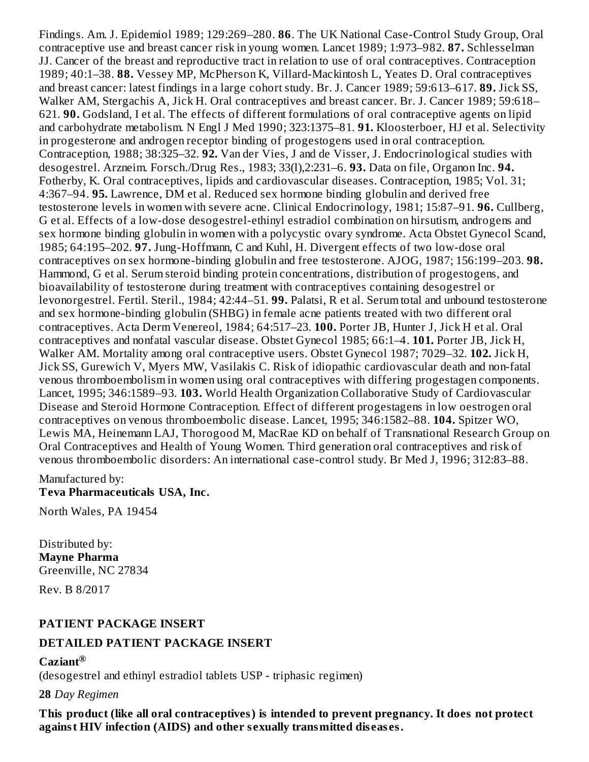Findings. Am. J. Epidemiol 1989; 129:269–280. **86**. The UK National Case-Control Study Group, Oral contraceptive use and breast cancer risk in young women. Lancet 1989; 1:973–982. **87.** Schlesselman JJ. Cancer of the breast and reproductive tract in relation to use of oral contraceptives. Contraception 1989; 40:1–38. **88.** Vessey MP, McPherson K, Villard-Mackintosh L, Yeates D. Oral contraceptives and breast cancer: latest findings in a large cohort study. Br. J. Cancer 1989; 59:613–617. **89.** Jick SS, Walker AM, Stergachis A, Jick H. Oral contraceptives and breast cancer. Br. J. Cancer 1989; 59:618– 621. **90.** Godsland, I et al. The effects of different formulations of oral contraceptive agents on lipid and carbohydrate metabolism. N Engl J Med 1990; 323:1375–81. **91.** Kloosterboer, HJ et al. Selectivity in progesterone and androgen receptor binding of progestogens used in oral contraception. Contraception, 1988; 38:325–32. **92.** Van der Vies, J and de Visser, J. Endocrinological studies with desogestrel. Arzneim. Forsch./Drug Res., 1983; 33(l),2:231–6. **93.** Data on file, Organon Inc. **94.** Fotherby, K. Oral contraceptives, lipids and cardiovascular diseases. Contraception, 1985; Vol. 31; 4:367–94. **95.** Lawrence, DM et al. Reduced sex hormone binding globulin and derived free testosterone levels in women with severe acne. Clinical Endocrinology, 1981; 15:87–91. **96.** Cullberg, G et al. Effects of a low-dose desogestrel-ethinyl estradiol combination on hirsutism, androgens and sex hormone binding globulin in women with a polycystic ovary syndrome. Acta Obstet Gynecol Scand, 1985; 64:195–202. **97.** Jung-Hoffmann, C and Kuhl, H. Divergent effects of two low-dose oral contraceptives on sex hormone-binding globulin and free testosterone. AJOG, 1987; 156:199–203. **98.** Hammond, G et al. Serum steroid binding protein concentrations, distribution of progestogens, and bioavailability of testosterone during treatment with contraceptives containing desogestrel or levonorgestrel. Fertil. Steril., 1984; 42:44–51. **99.** Palatsi, R et al. Serum total and unbound testosterone and sex hormone-binding globulin (SHBG) in female acne patients treated with two different oral contraceptives. Acta Derm Venereol, 1984; 64:517–23. **100.** Porter JB, Hunter J, Jick H et al. Oral contraceptives and nonfatal vascular disease. Obstet Gynecol 1985; 66:1–4. **101.** Porter JB, Jick H, Walker AM. Mortality among oral contraceptive users. Obstet Gynecol 1987; 7029–32. **102.** Jick H, Jick SS, Gurewich V, Myers MW, Vasilakis C. Risk of idiopathic cardiovascular death and non-fatal venous thromboembolism in women using oral contraceptives with differing progestagen components. Lancet, 1995; 346:1589–93. **103.** World Health Organization Collaborative Study of Cardiovascular Disease and Steroid Hormone Contraception. Effect of different progestagens in low oestrogen oral contraceptives on venous thromboembolic disease. Lancet, 1995; 346:1582–88. **104.** Spitzer WO, Lewis MA, Heinemann LAJ, Thorogood M, MacRae KD on behalf of Transnational Research Group on Oral Contraceptives and Health of Young Women. Third generation oral contraceptives and risk of venous thromboembolic disorders: An international case-control study. Br Med J, 1996; 312:83–88.

#### Manufactured by: **Teva Pharmaceuticals USA, Inc.**

North Wales, PA 19454

Distributed by: **Mayne Pharma** Greenville, NC 27834

Rev. B 8/2017

#### **PATIENT PACKAGE INSERT**

#### **DETAILED PATIENT PACKAGE INSERT**

**Caziant ®**(desogestrel and ethinyl estradiol tablets USP - triphasic regimen)

**28** *Day Regimen*

**This product (like all oral contraceptives) is intended to prevent pregnancy. It does not protect against HIV infection (AIDS) and other s exually transmitted dis eas es.**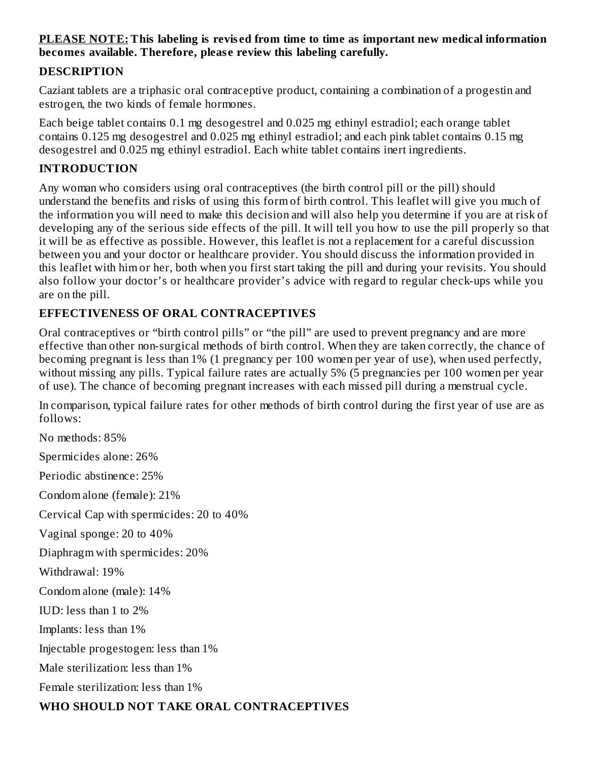#### **PLEASE NOTE: This labeling is revis ed from time to time as important new medical information becomes available. Therefore, pleas e review this labeling carefully.**

#### **DESCRIPTION**

Caziant tablets are a triphasic oral contraceptive product, containing a combination of a progestin and estrogen, the two kinds of female hormones.

Each beige tablet contains 0.1 mg desogestrel and 0.025 mg ethinyl estradiol; each orange tablet contains 0.125 mg desogestrel and 0.025 mg ethinyl estradiol; and each pink tablet contains 0.15 mg desogestrel and 0.025 mg ethinyl estradiol. Each white tablet contains inert ingredients.

#### **INTRODUCTION**

Any woman who considers using oral contraceptives (the birth control pill or the pill) should understand the benefits and risks of using this form of birth control. This leaflet will give you much of the information you will need to make this decision and will also help you determine if you are at risk of developing any of the serious side effects of the pill. It will tell you how to use the pill properly so that it will be as effective as possible. However, this leaflet is not a replacement for a careful discussion between you and your doctor or healthcare provider. You should discuss the information provided in this leaflet with him or her, both when you first start taking the pill and during your revisits. You should also follow your doctor's or healthcare provider's advice with regard to regular check-ups while you are on the pill.

## **EFFECTIVENESS OF ORAL CONTRACEPTIVES**

Oral contraceptives or "birth control pills" or "the pill" are used to prevent pregnancy and are more effective than other non-surgical methods of birth control. When they are taken correctly, the chance of becoming pregnant is less than 1% (1 pregnancy per 100 women per year of use), when used perfectly, without missing any pills. Typical failure rates are actually 5% (5 pregnancies per 100 women per year of use). The chance of becoming pregnant increases with each missed pill during a menstrual cycle.

In comparison, typical failure rates for other methods of birth control during the first year of use are as follows:

No methods: 85% Spermicides alone: 26% Periodic abstinence: 25% Condom alone (female): 21% Cervical Cap with spermicides: 20 to 40% Vaginal sponge: 20 to 40% Diaphragm with spermicides: 20% Withdrawal: 19% Condom alone (male): 14% IUD: less than 1 to 2% Implants: less than 1% Injectable progestogen: less than 1% Male sterilization: less than 1% Female sterilization: less than 1% **WHO SHOULD NOT TAKE ORAL CONTRACEPTIVES**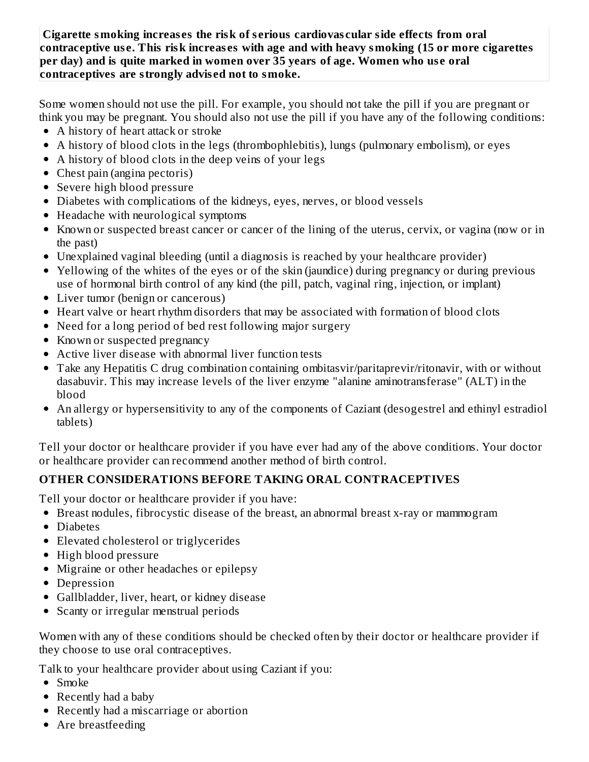**Cigarette smoking increas es the risk of s erious cardiovas cular side effects from oral contraceptive us e. This risk increas es with age and with heavy smoking (15 or more cigarettes per day) and is quite marked in women over 35 years of age. Women who us e oral contraceptives are strongly advis ed not to smoke.**

Some women should not use the pill. For example, you should not take the pill if you are pregnant or think you may be pregnant. You should also not use the pill if you have any of the following conditions:

- A history of heart attack or stroke
- A history of blood clots in the legs (thrombophlebitis), lungs (pulmonary embolism), or eyes
- A history of blood clots in the deep veins of your legs
- Chest pain (angina pectoris)
- Severe high blood pressure
- Diabetes with complications of the kidneys, eyes, nerves, or blood vessels
- Headache with neurological symptoms
- Known or suspected breast cancer or cancer of the lining of the uterus, cervix, or vagina (now or in the past)
- Unexplained vaginal bleeding (until a diagnosis is reached by your healthcare provider)
- Yellowing of the whites of the eyes or of the skin (jaundice) during pregnancy or during previous use of hormonal birth control of any kind (the pill, patch, vaginal ring, injection, or implant)
- Liver tumor (benign or cancerous)
- Heart valve or heart rhythm disorders that may be associated with formation of blood clots
- Need for a long period of bed rest following major surgery
- Known or suspected pregnancy
- Active liver disease with abnormal liver function tests
- Take any Hepatitis C drug combination containing ombitasvir/paritaprevir/ritonavir, with or without dasabuvir. This may increase levels of the liver enzyme "alanine aminotransferase" (ALT) in the blood
- An allergy or hypersensitivity to any of the components of Caziant (desogestrel and ethinyl estradiol tablets)

Tell your doctor or healthcare provider if you have ever had any of the above conditions. Your doctor or healthcare provider can recommend another method of birth control.

# **OTHER CONSIDERATIONS BEFORE TAKING ORAL CONTRACEPTIVES**

Tell your doctor or healthcare provider if you have:

- Breast nodules, fibrocystic disease of the breast, an abnormal breast x-ray or mammogram
- Diabetes
- Elevated cholesterol or triglycerides
- High blood pressure
- Migraine or other headaches or epilepsy
- Depression
- Gallbladder, liver, heart, or kidney disease
- Scanty or irregular menstrual periods

Women with any of these conditions should be checked often by their doctor or healthcare provider if they choose to use oral contraceptives.

Talk to your healthcare provider about using Caziant if you:

- Smoke
- Recently had a baby
- Recently had a miscarriage or abortion
- Are breastfeeding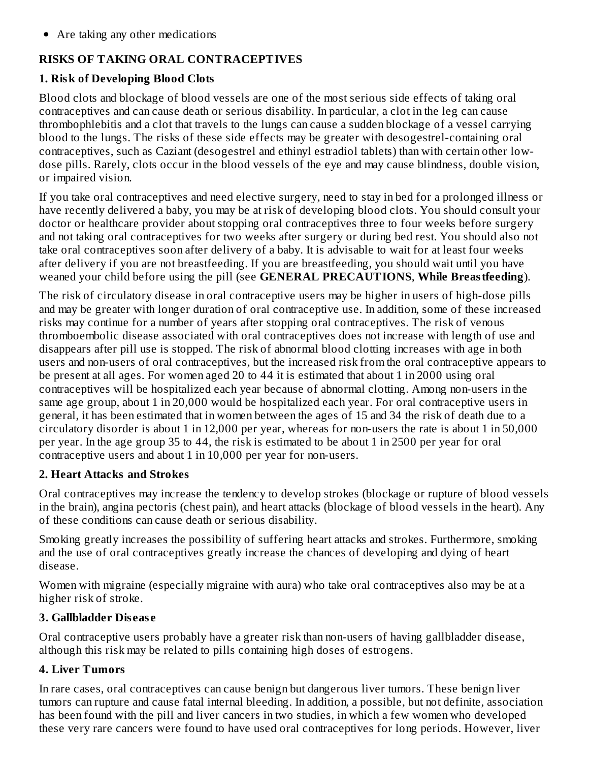• Are taking any other medications

## **RISKS OF TAKING ORAL CONTRACEPTIVES**

## **1. Risk of Developing Blood Clots**

Blood clots and blockage of blood vessels are one of the most serious side effects of taking oral contraceptives and can cause death or serious disability. In particular, a clot in the leg can cause thrombophlebitis and a clot that travels to the lungs can cause a sudden blockage of a vessel carrying blood to the lungs. The risks of these side effects may be greater with desogestrel-containing oral contraceptives, such as Caziant (desogestrel and ethinyl estradiol tablets) than with certain other lowdose pills. Rarely, clots occur in the blood vessels of the eye and may cause blindness, double vision, or impaired vision.

If you take oral contraceptives and need elective surgery, need to stay in bed for a prolonged illness or have recently delivered a baby, you may be at risk of developing blood clots. You should consult your doctor or healthcare provider about stopping oral contraceptives three to four weeks before surgery and not taking oral contraceptives for two weeks after surgery or during bed rest. You should also not take oral contraceptives soon after delivery of a baby. It is advisable to wait for at least four weeks after delivery if you are not breastfeeding. If you are breastfeeding, you should wait until you have weaned your child before using the pill (see **GENERAL PRECAUTIONS**, **While Breastfeeding**).

The risk of circulatory disease in oral contraceptive users may be higher in users of high-dose pills and may be greater with longer duration of oral contraceptive use. In addition, some of these increased risks may continue for a number of years after stopping oral contraceptives. The risk of venous thromboembolic disease associated with oral contraceptives does not increase with length of use and disappears after pill use is stopped. The risk of abnormal blood clotting increases with age in both users and non-users of oral contraceptives, but the increased risk from the oral contraceptive appears to be present at all ages. For women aged 20 to 44 it is estimated that about 1 in 2000 using oral contraceptives will be hospitalized each year because of abnormal clotting. Among non-users in the same age group, about 1 in 20,000 would be hospitalized each year. For oral contraceptive users in general, it has been estimated that in women between the ages of 15 and 34 the risk of death due to a circulatory disorder is about 1 in 12,000 per year, whereas for non-users the rate is about 1 in 50,000 per year. In the age group 35 to 44, the risk is estimated to be about 1 in 2500 per year for oral contraceptive users and about 1 in 10,000 per year for non-users.

#### **2. Heart Attacks and Strokes**

Oral contraceptives may increase the tendency to develop strokes (blockage or rupture of blood vessels in the brain), angina pectoris (chest pain), and heart attacks (blockage of blood vessels in the heart). Any of these conditions can cause death or serious disability.

Smoking greatly increases the possibility of suffering heart attacks and strokes. Furthermore, smoking and the use of oral contraceptives greatly increase the chances of developing and dying of heart disease.

Women with migraine (especially migraine with aura) who take oral contraceptives also may be at a higher risk of stroke.

#### **3. Gallbladder Dis eas e**

Oral contraceptive users probably have a greater risk than non-users of having gallbladder disease, although this risk may be related to pills containing high doses of estrogens.

#### **4. Liver Tumors**

In rare cases, oral contraceptives can cause benign but dangerous liver tumors. These benign liver tumors can rupture and cause fatal internal bleeding. In addition, a possible, but not definite, association has been found with the pill and liver cancers in two studies, in which a few women who developed these very rare cancers were found to have used oral contraceptives for long periods. However, liver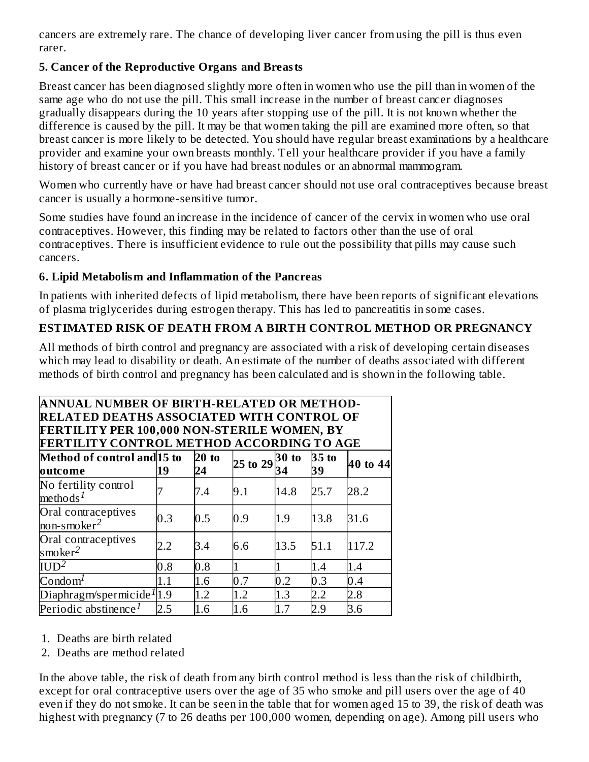cancers are extremely rare. The chance of developing liver cancer from using the pill is thus even rarer.

# **5. Cancer of the Reproductive Organs and Breasts**

Breast cancer has been diagnosed slightly more often in women who use the pill than in women of the same age who do not use the pill. This small increase in the number of breast cancer diagnoses gradually disappears during the 10 years after stopping use of the pill. It is not known whether the difference is caused by the pill. It may be that women taking the pill are examined more often, so that breast cancer is more likely to be detected. You should have regular breast examinations by a healthcare provider and examine your own breasts monthly. Tell your healthcare provider if you have a family history of breast cancer or if you have had breast nodules or an abnormal mammogram.

Women who currently have or have had breast cancer should not use oral contraceptives because breast cancer is usually a hormone-sensitive tumor.

Some studies have found an increase in the incidence of cancer of the cervix in women who use oral contraceptives. However, this finding may be related to factors other than the use of oral contraceptives. There is insufficient evidence to rule out the possibility that pills may cause such cancers.

# **6. Lipid Metabolism and Inflammation of the Pancreas**

In patients with inherited defects of lipid metabolism, there have been reports of significant elevations of plasma triglycerides during estrogen therapy. This has led to pancreatitis in some cases.

# **ESTIMATED RISK OF DEATH FROM A BIRTH CONTROL METHOD OR PREGNANCY**

All methods of birth control and pregnancy are associated with a risk of developing certain diseases which may lead to disability or death. An estimate of the number of deaths associated with different methods of birth control and pregnancy has been calculated and is shown in the following table.

| ANNUAL NUMBER OF BIRTH-RELATED OR METHOD-<br><b>RELATED DEATHS ASSOCIATED WITH CONTROL OF</b><br>FERTILITY PER 100,000 NON-STERILE WOMEN, BY<br><b>FERTILITY CONTROL METHOD ACCORDING TO AGE</b> |     |     |     |      |      |       |  |
|--------------------------------------------------------------------------------------------------------------------------------------------------------------------------------------------------|-----|-----|-----|------|------|-------|--|
| Method of control and 15 to<br>35 <sub>to</sub><br>$20$ to<br>$25 \text{ to } 29 \frac{30}{6} \text{ to }$<br>40 to 44<br>39<br>24<br>19<br>34<br>outcome                                        |     |     |     |      |      |       |  |
| No fertility control<br>methods $^{\rm 1}$                                                                                                                                                       | 7   | 7.4 | 9.1 | 14.8 | 25.7 | 28.2  |  |
| Oral contraceptives<br>$non-smoker2$                                                                                                                                                             | 0.3 | 0.5 | 0.9 | 1.9  | 13.8 | 31.6  |  |
| Oral contraceptives<br>smoker <sup>2</sup>                                                                                                                                                       | 2.2 | 3.4 | 6.6 | 13.5 | 51.1 | 117.2 |  |
| IUD <sup>2</sup>                                                                                                                                                                                 | 0.8 | 0.8 |     |      | 1.4  | 1.4   |  |
| $\mathrm{Condom}^1$                                                                                                                                                                              | 1.1 | 1.6 | 0.7 | 0.2  | 0.3  | 0.4   |  |
| Diaphragm/spermicide <sup>1</sup>  1.9                                                                                                                                                           |     | 1.2 | 1.2 | 1.3  | 2.2  | 2.8   |  |
| Periodic abstinence $^1$                                                                                                                                                                         | 2.5 | 1.6 | 1.6 | 1.7  | 2.9  | 3.6   |  |

1. Deaths are birth related

2. Deaths are method related

In the above table, the risk of death from any birth control method is less than the risk of childbirth, except for oral contraceptive users over the age of 35 who smoke and pill users over the age of 40 even if they do not smoke. It can be seen in the table that for women aged 15 to 39, the risk of death was highest with pregnancy (7 to 26 deaths per 100,000 women, depending on age). Among pill users who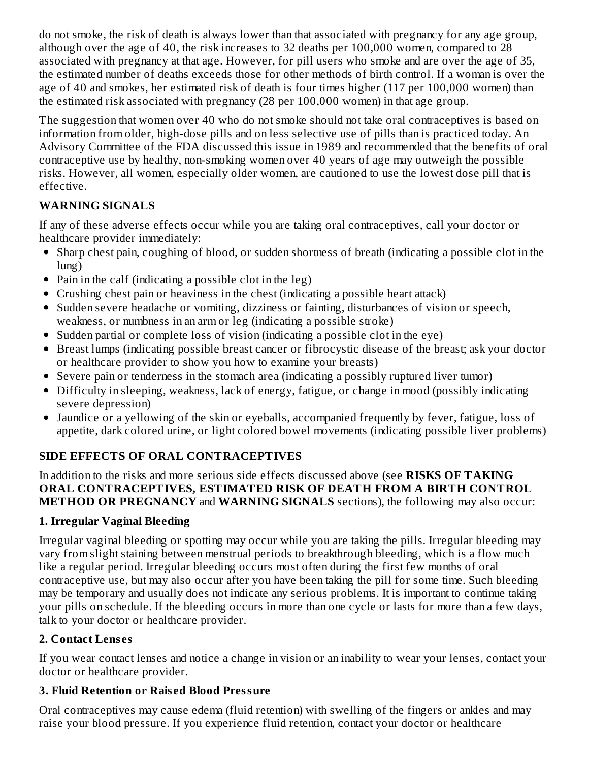do not smoke, the risk of death is always lower than that associated with pregnancy for any age group, although over the age of 40, the risk increases to 32 deaths per 100,000 women, compared to 28 associated with pregnancy at that age. However, for pill users who smoke and are over the age of 35, the estimated number of deaths exceeds those for other methods of birth control. If a woman is over the age of 40 and smokes, her estimated risk of death is four times higher (117 per 100,000 women) than the estimated risk associated with pregnancy (28 per 100,000 women) in that age group.

The suggestion that women over 40 who do not smoke should not take oral contraceptives is based on information from older, high-dose pills and on less selective use of pills than is practiced today. An Advisory Committee of the FDA discussed this issue in 1989 and recommended that the benefits of oral contraceptive use by healthy, non-smoking women over 40 years of age may outweigh the possible risks. However, all women, especially older women, are cautioned to use the lowest dose pill that is effective.

# **WARNING SIGNALS**

If any of these adverse effects occur while you are taking oral contraceptives, call your doctor or healthcare provider immediately:

- Sharp chest pain, coughing of blood, or sudden shortness of breath (indicating a possible clot in the lung)
- Pain in the calf (indicating a possible clot in the leg)
- Crushing chest pain or heaviness in the chest (indicating a possible heart attack)
- Sudden severe headache or vomiting, dizziness or fainting, disturbances of vision or speech, weakness, or numbness in an arm or leg (indicating a possible stroke)
- Sudden partial or complete loss of vision (indicating a possible clot in the eye)
- Breast lumps (indicating possible breast cancer or fibrocystic disease of the breast; ask your doctor or healthcare provider to show you how to examine your breasts)
- Severe pain or tenderness in the stomach area (indicating a possibly ruptured liver tumor)
- Difficulty in sleeping, weakness, lack of energy, fatigue, or change in mood (possibly indicating severe depression)
- Jaundice or a yellowing of the skin or eyeballs, accompanied frequently by fever, fatigue, loss of appetite, dark colored urine, or light colored bowel movements (indicating possible liver problems)

# **SIDE EFFECTS OF ORAL CONTRACEPTIVES**

In addition to the risks and more serious side effects discussed above (see **RISKS OF TAKING ORAL CONTRACEPTIVES, ESTIMATED RISK OF DEATH FROM A BIRTH CONTROL METHOD OR PREGNANCY** and **WARNING SIGNALS** sections), the following may also occur:

# **1. Irregular Vaginal Bleeding**

Irregular vaginal bleeding or spotting may occur while you are taking the pills. Irregular bleeding may vary from slight staining between menstrual periods to breakthrough bleeding, which is a flow much like a regular period. Irregular bleeding occurs most often during the first few months of oral contraceptive use, but may also occur after you have been taking the pill for some time. Such bleeding may be temporary and usually does not indicate any serious problems. It is important to continue taking your pills on schedule. If the bleeding occurs in more than one cycle or lasts for more than a few days, talk to your doctor or healthcare provider.

# **2. Contact Lens es**

If you wear contact lenses and notice a change in vision or an inability to wear your lenses, contact your doctor or healthcare provider.

# **3. Fluid Retention or Rais ed Blood Pressure**

Oral contraceptives may cause edema (fluid retention) with swelling of the fingers or ankles and may raise your blood pressure. If you experience fluid retention, contact your doctor or healthcare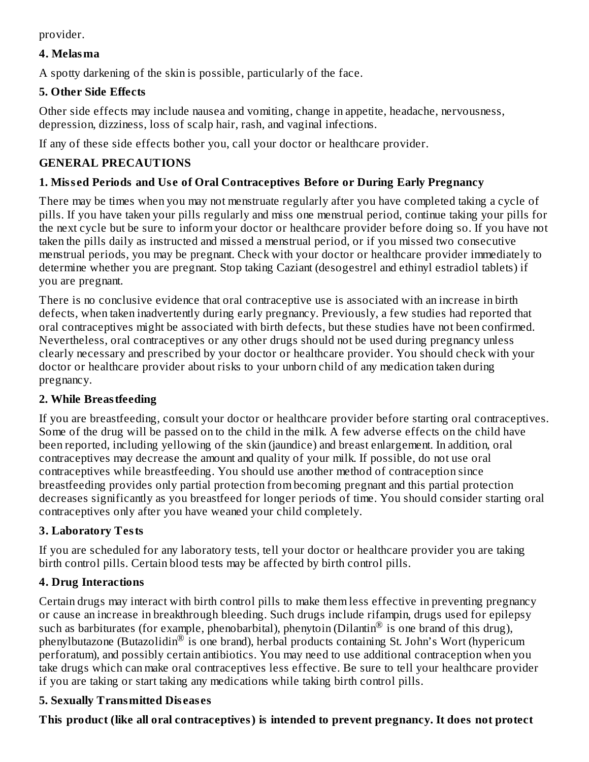provider.

# **4. Melasma**

A spotty darkening of the skin is possible, particularly of the face.

# **5. Other Side Effects**

Other side effects may include nausea and vomiting, change in appetite, headache, nervousness, depression, dizziness, loss of scalp hair, rash, and vaginal infections.

If any of these side effects bother you, call your doctor or healthcare provider.

# **GENERAL PRECAUTIONS**

# **1. Miss ed Periods and Us e of Oral Contraceptives Before or During Early Pregnancy**

There may be times when you may not menstruate regularly after you have completed taking a cycle of pills. If you have taken your pills regularly and miss one menstrual period, continue taking your pills for the next cycle but be sure to inform your doctor or healthcare provider before doing so. If you have not taken the pills daily as instructed and missed a menstrual period, or if you missed two consecutive menstrual periods, you may be pregnant. Check with your doctor or healthcare provider immediately to determine whether you are pregnant. Stop taking Caziant (desogestrel and ethinyl estradiol tablets) if you are pregnant.

There is no conclusive evidence that oral contraceptive use is associated with an increase in birth defects, when taken inadvertently during early pregnancy. Previously, a few studies had reported that oral contraceptives might be associated with birth defects, but these studies have not been confirmed. Nevertheless, oral contraceptives or any other drugs should not be used during pregnancy unless clearly necessary and prescribed by your doctor or healthcare provider. You should check with your doctor or healthcare provider about risks to your unborn child of any medication taken during pregnancy.

# **2. While Breastfeeding**

If you are breastfeeding, consult your doctor or healthcare provider before starting oral contraceptives. Some of the drug will be passed on to the child in the milk. A few adverse effects on the child have been reported, including yellowing of the skin (jaundice) and breast enlargement. In addition, oral contraceptives may decrease the amount and quality of your milk. If possible, do not use oral contraceptives while breastfeeding. You should use another method of contraception since breastfeeding provides only partial protection from becoming pregnant and this partial protection decreases significantly as you breastfeed for longer periods of time. You should consider starting oral contraceptives only after you have weaned your child completely.

# **3. Laboratory Tests**

If you are scheduled for any laboratory tests, tell your doctor or healthcare provider you are taking birth control pills. Certain blood tests may be affected by birth control pills.

# **4. Drug Interactions**

Certain drugs may interact with birth control pills to make them less effective in preventing pregnancy or cause an increase in breakthrough bleeding. Such drugs include rifampin, drugs used for epilepsy such as barbiturates (for example, phenobarbital), phenytoin (Dilantin<sup>®</sup> is one brand of this drug), phenylbutazone (Butazolidin<sup>®</sup> is one brand), herbal products containing St. John's Wort (hypericum perforatum), and possibly certain antibiotics. You may need to use additional contraception when you take drugs which can make oral contraceptives less effective. Be sure to tell your healthcare provider if you are taking or start taking any medications while taking birth control pills.

# **5. Sexually Transmitted Dis eas es**

**This product (like all oral contraceptives) is intended to prevent pregnancy. It does not protect**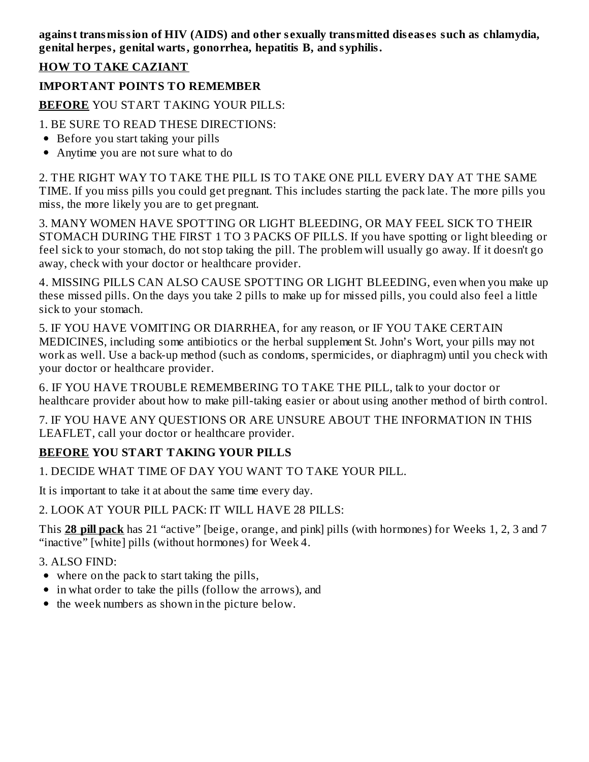**against transmission of HIV (AIDS) and other s exually transmitted dis eas es such as chlamydia, genital herpes, genital warts, gonorrhea, hepatitis B, and syphilis.**

# **HOW TO TAKE CAZIANT**

# **IMPORTANT POINTS TO REMEMBER**

**BEFORE** YOU START TAKING YOUR PILLS:

1. BE SURE TO READ THESE DIRECTIONS:

- Before you start taking your pills
- Anytime you are not sure what to do

2. THE RIGHT WAY TO TAKE THE PILL IS TO TAKE ONE PILL EVERY DAY AT THE SAME TIME. If you miss pills you could get pregnant. This includes starting the pack late. The more pills you miss, the more likely you are to get pregnant.

3. MANY WOMEN HAVE SPOTTING OR LIGHT BLEEDING, OR MAY FEEL SICK TO THEIR STOMACH DURING THE FIRST 1 TO 3 PACKS OF PILLS. If you have spotting or light bleeding or feel sick to your stomach, do not stop taking the pill. The problem will usually go away. If it doesn't go away, check with your doctor or healthcare provider.

4. MISSING PILLS CAN ALSO CAUSE SPOTTING OR LIGHT BLEEDING, even when you make up these missed pills. On the days you take 2 pills to make up for missed pills, you could also feel a little sick to your stomach.

5. IF YOU HAVE VOMITING OR DIARRHEA, for any reason, or IF YOU TAKE CERTAIN MEDICINES, including some antibiotics or the herbal supplement St. John's Wort, your pills may not work as well. Use a back-up method (such as condoms, spermicides, or diaphragm) until you check with your doctor or healthcare provider.

6. IF YOU HAVE TROUBLE REMEMBERING TO TAKE THE PILL, talk to your doctor or healthcare provider about how to make pill-taking easier or about using another method of birth control.

7. IF YOU HAVE ANY QUESTIONS OR ARE UNSURE ABOUT THE INFORMATION IN THIS LEAFLET, call your doctor or healthcare provider.

# **BEFORE YOU START TAKING YOUR PILLS**

1. DECIDE WHAT TIME OF DAY YOU WANT TO TAKE YOUR PILL.

It is important to take it at about the same time every day.

2. LOOK AT YOUR PILL PACK: IT WILL HAVE 28 PILLS:

This **28 pill pack** has 21 "active" [beige, orange, and pink] pills (with hormones) for Weeks 1, 2, 3 and 7 "inactive" [white] pills (without hormones) for Week 4.

3. ALSO FIND:

- where on the pack to start taking the pills,
- in what order to take the pills (follow the arrows), and
- the week numbers as shown in the picture below.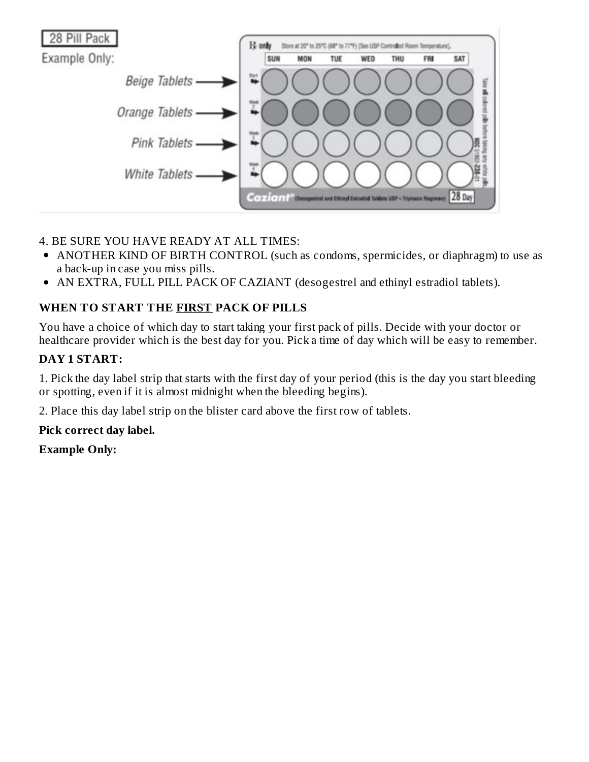

- 4. BE SURE YOU HAVE READY AT ALL TIMES:
- ANOTHER KIND OF BIRTH CONTROL (such as condoms, spermicides, or diaphragm) to use as a back-up in case you miss pills.
- AN EXTRA, FULL PILL PACK OF CAZIANT (desogestrel and ethinyl estradiol tablets).

# **WHEN TO START THE FIRST PACK OF PILLS**

You have a choice of which day to start taking your first pack of pills. Decide with your doctor or healthcare provider which is the best day for you. Pick a time of day which will be easy to remember.

#### **DAY 1 START:**

1. Pick the day label strip that starts with the first day of your period (this is the day you start bleeding or spotting, even if it is almost midnight when the bleeding begins).

2. Place this day label strip on the blister card above the first row of tablets.

#### **Pick correct day label.**

**Example Only:**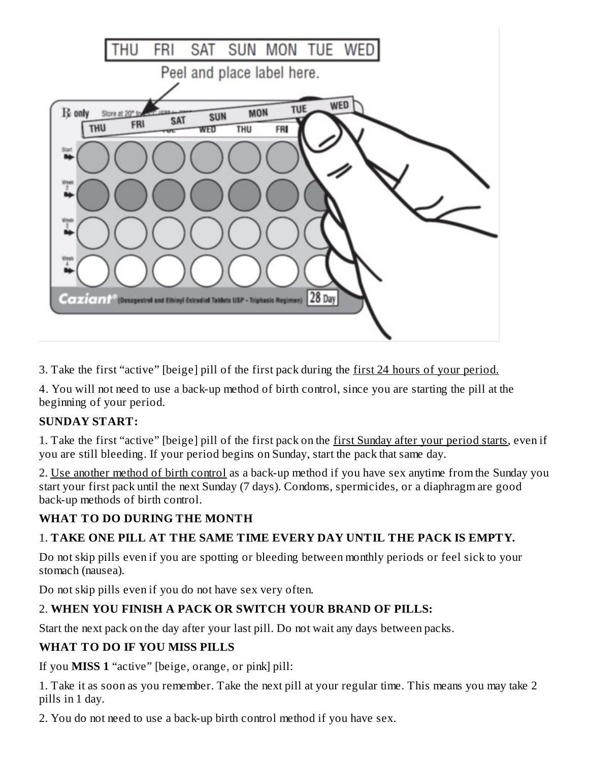

3. Take the first "active" [beige] pill of the first pack during the <u>first 24 hours of your period.</u>

4. You will not need to use a back-up method of birth control, since you are starting the pill at the beginning of your period.

# **SUNDAY START:**

1. Take the first "active" [beige] pill of the first pack on the first Sunday after your period starts, even if you are still bleeding. If your period begins on Sunday, start the pack that same day.

2. Use another method of birth control as a back-up method if you have sex anytime from the Sunday you start your first pack until the next Sunday (7 days). Condoms, spermicides, or a diaphragm are good back-up methods of birth control.

# **WHAT TO DO DURING THE MONTH**

# 1. **TAKE ONE PILL AT THE SAME TIME EVERY DAY UNTIL THE PACK IS EMPTY.**

Do not skip pills even if you are spotting or bleeding between monthly periods or feel sick to your stomach (nausea).

Do not skip pills even if you do not have sex very often.

# 2. **WHEN YOU FINISH A PACK OR SWITCH YOUR BRAND OF PILLS:**

Start the next pack on the day after your last pill. Do not wait any days between packs.

# **WHAT TO DO IF YOU MISS PILLS**

If you **MISS 1** "active" [beige, orange, or pink] pill:

1. Take it as soon as you remember. Take the next pill at your regular time. This means you may take 2 pills in 1 day.

2. You do not need to use a back-up birth control method if you have sex.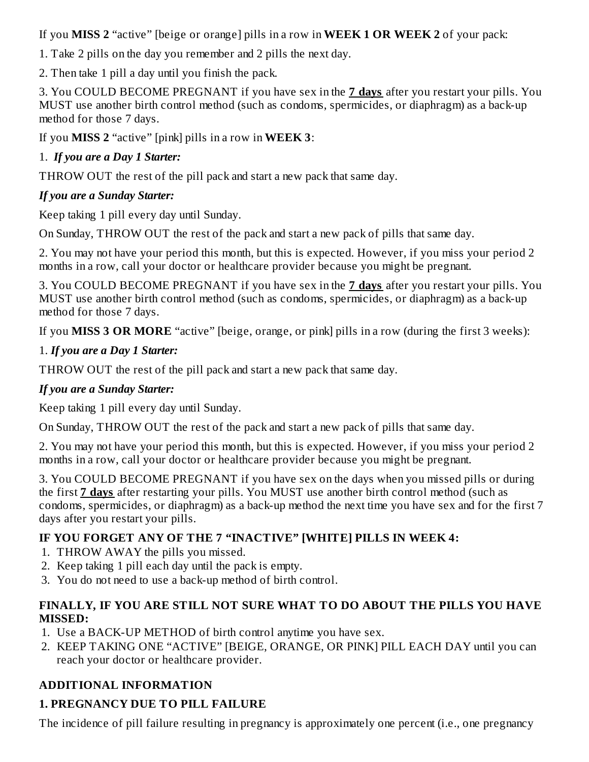If you **MISS 2** "active" [beige or orange] pills in a row in **WEEK 1 OR WEEK 2** of your pack:

1. Take 2 pills on the day you remember and 2 pills the next day.

2. Then take 1 pill a day until you finish the pack.

3. You COULD BECOME PREGNANT if you have sex in the **7 days** after you restart your pills. You MUST use another birth control method (such as condoms, spermicides, or diaphragm) as a back-up method for those 7 days.

If you **MISS 2** "active" [pink] pills in a row in **WEEK 3**:

# 1. *If you are a Day 1 Starter:*

THROW OUT the rest of the pill pack and start a new pack that same day.

# *If you are a Sunday Starter:*

Keep taking 1 pill every day until Sunday.

On Sunday, THROW OUT the rest of the pack and start a new pack of pills that same day.

2. You may not have your period this month, but this is expected. However, if you miss your period 2 months in a row, call your doctor or healthcare provider because you might be pregnant.

3. You COULD BECOME PREGNANT if you have sex in the **7 days** after you restart your pills. You MUST use another birth control method (such as condoms, spermicides, or diaphragm) as a back-up method for those 7 days.

If you **MISS 3 OR MORE** "active" [beige, orange, or pink] pills in a row (during the first 3 weeks):

# 1. *If you are a Day 1 Starter:*

THROW OUT the rest of the pill pack and start a new pack that same day.

# *If you are a Sunday Starter:*

Keep taking 1 pill every day until Sunday.

On Sunday, THROW OUT the rest of the pack and start a new pack of pills that same day.

2. You may not have your period this month, but this is expected. However, if you miss your period 2 months in a row, call your doctor or healthcare provider because you might be pregnant.

3. You COULD BECOME PREGNANT if you have sex on the days when you missed pills or during the first **7 days** after restarting your pills. You MUST use another birth control method (such as condoms, spermicides, or diaphragm) as a back-up method the next time you have sex and for the first 7 days after you restart your pills.

# **IF YOU FORGET ANY OF THE 7 "INACTIVE" [WHITE] PILLS IN WEEK 4:**

- 1. THROW AWAY the pills you missed.
- 2. Keep taking 1 pill each day until the pack is empty.
- 3. You do not need to use a back-up method of birth control.

# **FINALLY, IF YOU ARE STILL NOT SURE WHAT TO DO ABOUT THE PILLS YOU HAVE MISSED:**

- 1. Use a BACK-UP METHOD of birth control anytime you have sex.
- 2. KEEP TAKING ONE "ACTIVE" [BEIGE, ORANGE, OR PINK] PILL EACH DAY until you can reach your doctor or healthcare provider.

# **ADDITIONAL INFORMATION**

# **1. PREGNANCY DUE TO PILL FAILURE**

The incidence of pill failure resulting in pregnancy is approximately one percent (i.e., one pregnancy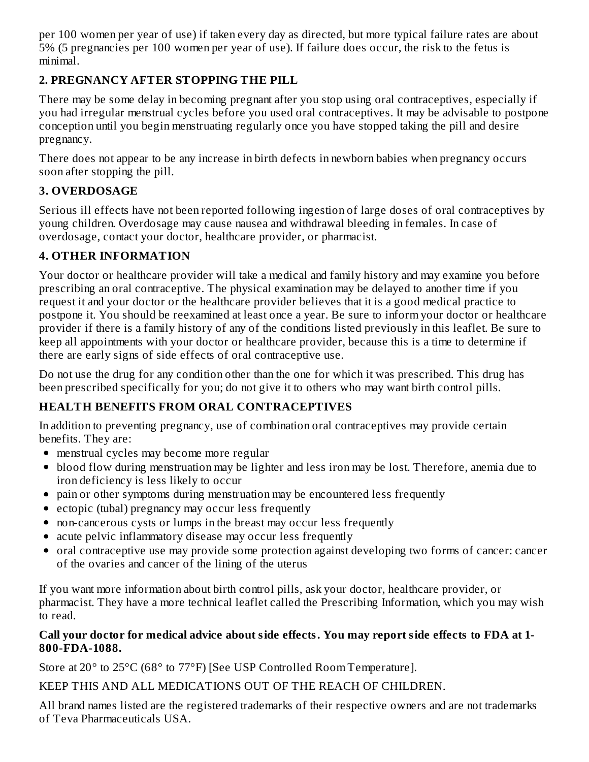per 100 women per year of use) if taken every day as directed, but more typical failure rates are about 5% (5 pregnancies per 100 women per year of use). If failure does occur, the risk to the fetus is minimal.

# **2. PREGNANCY AFTER STOPPING THE PILL**

There may be some delay in becoming pregnant after you stop using oral contraceptives, especially if you had irregular menstrual cycles before you used oral contraceptives. It may be advisable to postpone conception until you begin menstruating regularly once you have stopped taking the pill and desire pregnancy.

There does not appear to be any increase in birth defects in newborn babies when pregnancy occurs soon after stopping the pill.

# **3. OVERDOSAGE**

Serious ill effects have not been reported following ingestion of large doses of oral contraceptives by young children. Overdosage may cause nausea and withdrawal bleeding in females. In case of overdosage, contact your doctor, healthcare provider, or pharmacist.

# **4. OTHER INFORMATION**

Your doctor or healthcare provider will take a medical and family history and may examine you before prescribing an oral contraceptive. The physical examination may be delayed to another time if you request it and your doctor or the healthcare provider believes that it is a good medical practice to postpone it. You should be reexamined at least once a year. Be sure to inform your doctor or healthcare provider if there is a family history of any of the conditions listed previously in this leaflet. Be sure to keep all appointments with your doctor or healthcare provider, because this is a time to determine if there are early signs of side effects of oral contraceptive use.

Do not use the drug for any condition other than the one for which it was prescribed. This drug has been prescribed specifically for you; do not give it to others who may want birth control pills.

# **HEALTH BENEFITS FROM ORAL CONTRACEPTIVES**

In addition to preventing pregnancy, use of combination oral contraceptives may provide certain benefits. They are:

- menstrual cycles may become more regular
- blood flow during menstruation may be lighter and less iron may be lost. Therefore, anemia due to iron deficiency is less likely to occur
- pain or other symptoms during menstruation may be encountered less frequently
- ectopic (tubal) pregnancy may occur less frequently
- non-cancerous cysts or lumps in the breast may occur less frequently
- acute pelvic inflammatory disease may occur less frequently
- oral contraceptive use may provide some protection against developing two forms of cancer: cancer of the ovaries and cancer of the lining of the uterus

If you want more information about birth control pills, ask your doctor, healthcare provider, or pharmacist. They have a more technical leaflet called the Prescribing Information, which you may wish to read.

#### **Call your doctor for medical advice about side effects. You may report side effects to FDA at 1- 800-FDA-1088.**

Store at 20° to 25°C (68° to 77°F) [See USP Controlled Room Temperature].

KEEP THIS AND ALL MEDICATIONS OUT OF THE REACH OF CHILDREN.

All brand names listed are the registered trademarks of their respective owners and are not trademarks of Teva Pharmaceuticals USA.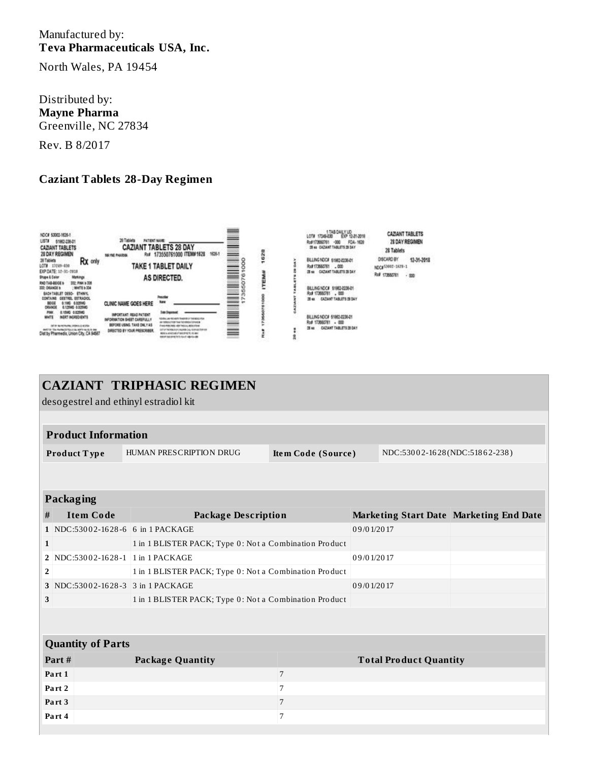#### Manufactured by: **Teva Pharmaceuticals USA, Inc.**

North Wales, PA 19454

Distributed by: **Mayne Pharma** Greenville, NC 27834

Rev. B 8/2017

#### **Caziant Tablets 28-Day Regimen**



# **CAZIANT TRIPHASIC REGIMEN** desogestrel and ethinyl estradiol kit **Product Information Product T ype** HUMAN PRESCRIPTION DRUG **Ite m Code (Source )** NDC:530 0 2-16 28 (NDC:518 6 2-238 ) **Packaging # Item Code Package Description Marketing Start Date Marketing End Date 1** NDC:530 0 2-16 28 -6 6 in 1 PACKAGE 0 9 /0 1/20 17 **1** 1 in 1 BLISTER PACK; Type 0: Not a Combination Product **2** NDC:53002-1628-1 1 in 1 PACKAGE 0 9/0 1/20 17 **2** 1 in 1 BLISTER PACK; Type 0: Not a Combination Product **3** NDC:53002-1628-3 3 in 1 PACKAGE 0 9/0 1/20 17 **3** 1 in 1 BLISTER PACK; Type 0: Not a Combination Product

#### **Quantity of Parts**

| Part # | <b>Package Quantity</b> | <b>Total Product Quantity</b> |
|--------|-------------------------|-------------------------------|
| Part 1 |                         |                               |
| Part 2 |                         |                               |
| Part 3 |                         |                               |
| Part 4 |                         |                               |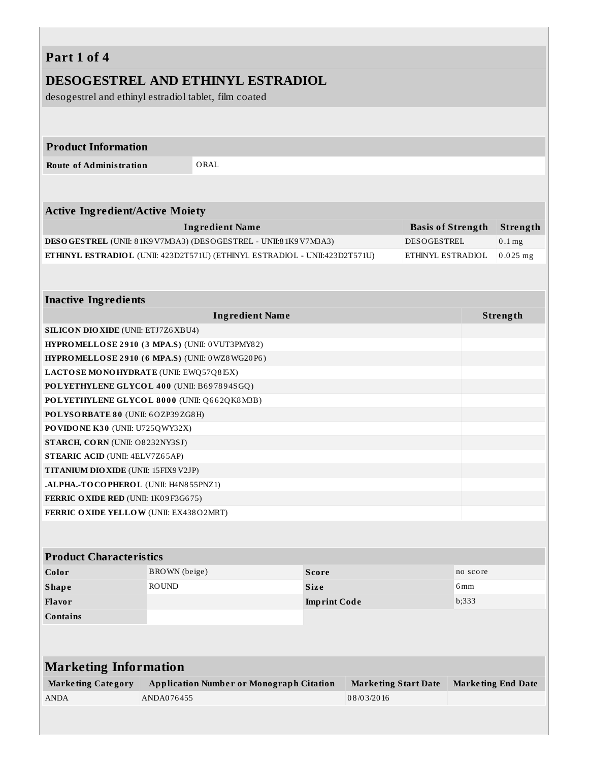# **Part 1 of 4**

## **DESOGESTREL AND ETHINYL ESTRADIOL**

desogestrel and ethinyl estradiol tablet, film coated

#### **Product Information**

**Route of Administration** ORAL

## **Active Ingredient/Active Moiety**

| Ingredient Name                                                                   | <b>Basis of Strength</b> Strength |            |
|-----------------------------------------------------------------------------------|-----------------------------------|------------|
| <b>DESO GESTREL</b> (UNII: 8 1K9 V7M3A3) (DESO GESTREL - UNII:8 1K9 V7M3A3)       | DESOGESTREL                       | $0.1$ mg   |
| <b>ETHINYL ESTRADIOL</b> (UNII: 423D2T571U) (ETHINYL ESTRADIOL - UNII:423D2T571U) | ETHINYL ESTRADIOL                 | $0.025$ mg |

#### **Inactive Ingredients**

| <b>Ingredient Name</b>                          | Strength |
|-------------------------------------------------|----------|
| <b>SILICON DIO XIDE (UNII: ETJ7Z6 XBU4)</b>     |          |
| HYPROMELLOSE 2910 (3 MPA.S) (UNII: 0 VUT3PMY82) |          |
| HYPROMELLOSE 2910 (6 MPA.S) (UNII: 0WZ8WG20P6)  |          |
| LACTOSE MONOHYDRATE (UNII: EWQ57Q815X)          |          |
| POLYETHYLENE GLYCOL 400 (UNII: B697894SGQ)      |          |
| POLYETHYLENE GLYCOL 8000 (UNII: Q662QK8M3B)     |          |
| POLYSORBATE 80 (UNII: 6OZP39ZG8H)               |          |
| PO VIDO NE K30 (UNII: U725QWY32X)               |          |
| STARCH, CORN (UNII: O8232NY3SJ)                 |          |
| <b>STEARIC ACID (UNII: 4ELV7Z65AP)</b>          |          |
| TITANIUM DIO XIDE (UNII: 15FIX9V2JP)            |          |
| .ALPHA.-TOCOPHEROL (UNII: H4N855PNZ1)           |          |
| <b>FERRIC OXIDE RED (UNII: 1K09F3G675)</b>      |          |
| FERRIC OXIDE YELLOW (UNII: EX438O2MRT)          |          |
|                                                 |          |
|                                                 |          |
| <b>Product Characteristics</b>                  |          |

| Color           | BROWN (beige) | Score               | no score        |
|-----------------|---------------|---------------------|-----------------|
| <b>Shape</b>    | ROUND         | <b>Size</b>         | 6 <sub>mm</sub> |
| Flavor          |               | <b>Imprint Code</b> | b;333           |
| <b>Contains</b> |               |                     |                 |

| <b>Marketing Information</b> |                                                 |                      |                           |  |  |
|------------------------------|-------------------------------------------------|----------------------|---------------------------|--|--|
| <b>Marketing Category</b>    | <b>Application Number or Monograph Citation</b> | Marketing Start Date | <b>Marketing End Date</b> |  |  |
| <b>ANDA</b>                  | ANDA076455                                      | 08/03/2016           |                           |  |  |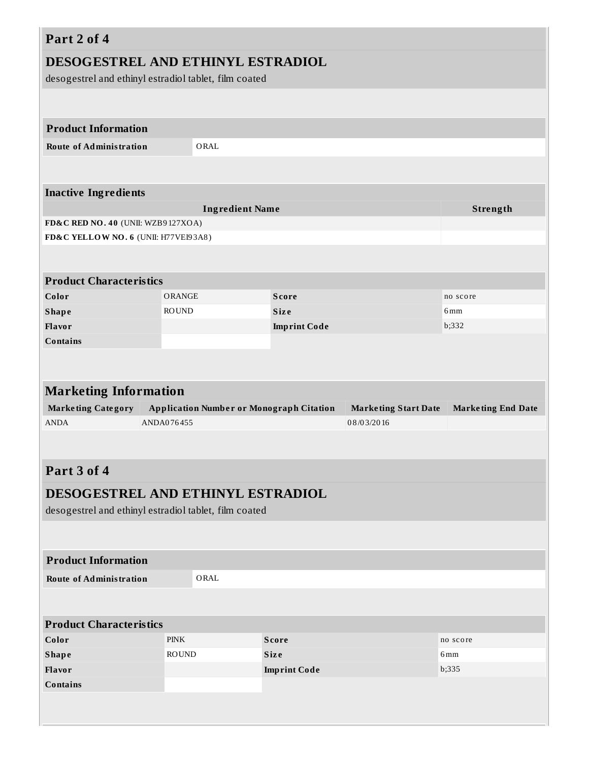# **Part 2 of 4 DESOGESTREL AND ETHINYL ESTRADIOL** desogestrel and ethinyl estradiol tablet, film coated **Product Information Route of Administration** ORAL **Inactive Ingredients Ingredient Name Strength FD&C RED NO. 4 0** (UNII: WZB9 127XOA) **FD&C YELLOW NO. 6** (UNII: H77VEI9 3A8 ) **Product Characteristics Color COLORE Score Score no** score **no** score **no** score **no** score **no** score **no** score **no** score **no** score **no** score **no** score **no** score **no** score **no** score **no** score **no no n Shape ROUND Size Simma Size** *COUND* **Size** *COUND COUND COUND COUND COUND COUND COUND COUND COUND COUND COUND COUND COUND COUND COUND COUND COUN* **Flavor Imprint Code** b;332 **Contains Marketing Information Marke ting Category Application Numbe r or Monograph Citation Marke ting Start Date Marke ting End Date** ANDA ANDA076455 08/03/2016 **Part 3 of 4 DESOGESTREL AND ETHINYL ESTRADIOL** desogestrel and ethinyl estradiol tablet, film coated **Product Information Route of Administration** ORAL **Product Characteristics Color Color PINK Score Score** *no score* **no** score **Shape Size Shape Size Size Size Size Size** *Shape* **Size** *Shape Shape Shape Shape Shape* **Flavor Imprint Code** b;335 **Contains**